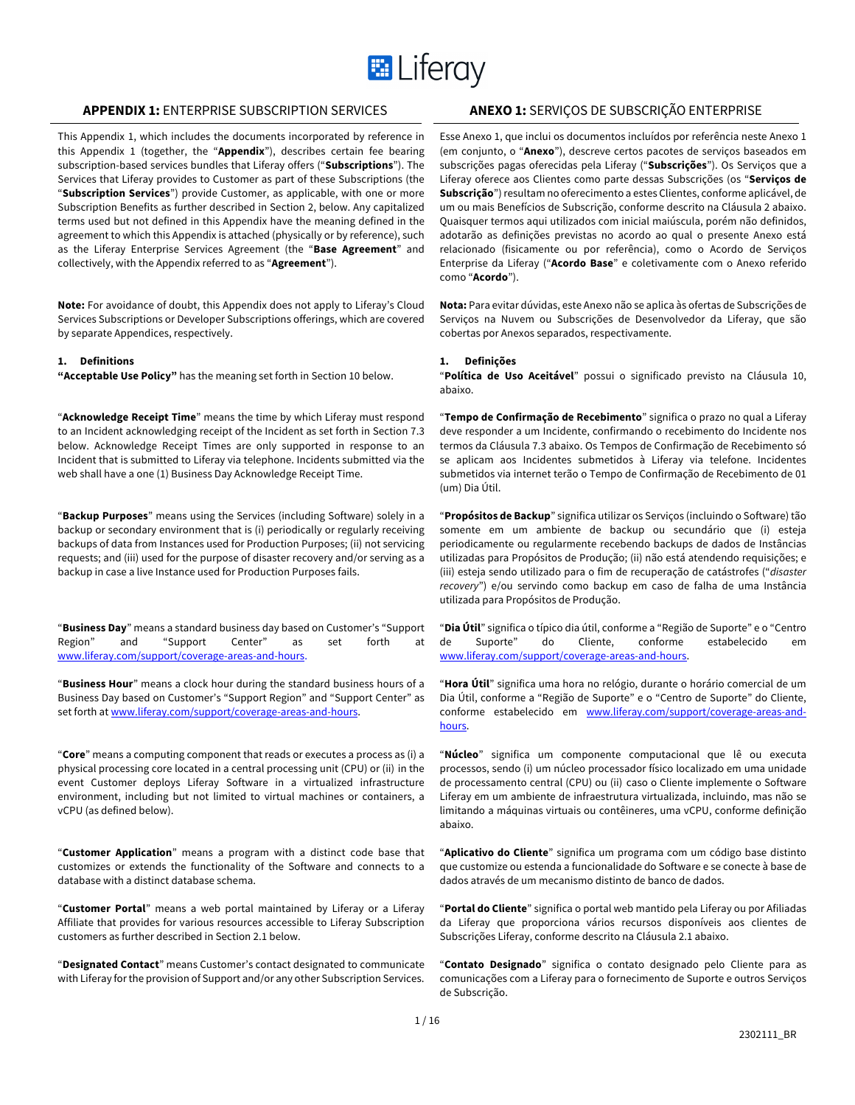

# **APPENDIX 1:** ENTERPRISE SUBSCRIPTION SERVICES **ANEXO 1:** SERVIÇOS DE SUBSCRIÇÃO ENTERPRISE

This Appendix 1, which includes the documents incorporated by reference in this Appendix 1 (together, the "**Appendix**"), describes certain fee bearing subscription-based services bundles that Liferay offers ("**Subscriptions**"). The Services that Liferay provides to Customer as part of these Subscriptions (the "**Subscription Services**") provide Customer, as applicable, with one or more Subscription Benefits as further described in Section 2, below. Any capitalized terms used but not defined in this Appendix have the meaning defined in the agreement to which this Appendix is attached (physically or by reference), such as the Liferay Enterprise Services Agreement (the "**Base Agreement**" and collectively, with the Appendix referred to as "**Agreement**").

**Note:** For avoidance of doubt, this Appendix does not apply to Liferay's Cloud Services Subscriptions or Developer Subscriptions offerings, which are covered by separate Appendices, respectively.

### **1. Definitions**

**"Acceptable Use Policy"** has the meaning set forth in Section 10 below.

"**Acknowledge Receipt Time**" means the time by which Liferay must respond to an Incident acknowledging receipt of the Incident as set forth in Section 7.3 below. Acknowledge Receipt Times are only supported in response to an Incident that is submitted to Liferay via telephone. Incidents submitted via the web shall have a one (1) Business Day Acknowledge Receipt Time.

"**Backup Purposes**" means using the Services (including Software) solely in a backup or secondary environment that is (i) periodically or regularly receiving backups of data from Instances used for Production Purposes; (ii) not servicing requests; and (iii) used for the purpose of disaster recovery and/or serving as a backup in case a live Instance used for Production Purposes fails.

"**Business Day**" means a standard business day based on Customer's "Support Region" and "Support Center" as set forth at www.liferay.com/support/coverage-areas-and-hours.

"**Business Hour**" means a clock hour during the standard business hours of a Business Day based on Customer's "Support Region" and "Support Center" as set forth at www.liferay.com/support/coverage-areas-and-hours.

"**Core**" means a computing component that reads or executes a process as (i) a physical processing core located in a central processing unit (CPU) or (ii) in the event Customer deploys Liferay Software in a virtualized infrastructure environment, including but not limited to virtual machines or containers, a vCPU (as defined below).

"**Customer Application**" means a program with a distinct code base that customizes or extends the functionality of the Software and connects to a database with a distinct database schema.

"**Customer Portal**" means a web portal maintained by Liferay or a Liferay Affiliate that provides for various resources accessible to Liferay Subscription customers as further described in Section 2.1 below.

"**Designated Contact**" means Customer's contact designated to communicate with Liferay for the provision of Support and/or any other Subscription Services.

Esse Anexo 1, que inclui os documentos incluídos por referência neste Anexo 1 (em conjunto, o "**Anexo**"), descreve certos pacotes de serviços baseados em subscrições pagas oferecidas pela Liferay ("**Subscrições**"). Os Serviços que a Liferay oferece aos Clientes como parte dessas Subscrições (os "**Serviços de Subscrição**") resultam no oferecimento a estes Clientes, conforme aplicável, de um ou mais Benefícios de Subscrição, conforme descrito na Cláusula 2 abaixo. Quaisquer termos aqui utilizados com inicial maiúscula, porém não definidos, adotarão as definições previstas no acordo ao qual o presente Anexo está relacionado (fisicamente ou por referência), como o Acordo de Serviços Enterprise da Liferay ("**Acordo Base**" e coletivamente com o Anexo referido como "**Acordo**").

**Nota:** Para evitar dúvidas, este Anexo não se aplica às ofertas de Subscrições de Serviços na Nuvem ou Subscrições de Desenvolvedor da Liferay, que são cobertas por Anexos separados, respectivamente.

# **1. Definições**

"**Política de Uso Aceitável**" possui o significado previsto na Cláusula 10, abaixo.

"**Tempo de Confirmação de Recebimento**" significa o prazo no qual a Liferay deve responder a um Incidente, confirmando o recebimento do Incidente nos termos da Cláusula 7.3 abaixo. Os Tempos de Confirmação de Recebimento só se aplicam aos Incidentes submetidos à Liferay via telefone. Incidentes submetidos via internet terão o Tempo de Confirmação de Recebimento de 01 (um) Dia Útil.

"**Propósitos de Backup**" significa utilizar os Serviços (incluindo o Software) tão somente em um ambiente de backup ou secundário que (i) esteja periodicamente ou regularmente recebendo backups de dados de Instâncias utilizadas para Propósitos de Produção; (ii) não está atendendo requisições; e (iii) esteja sendo utilizado para o fim de recuperação de catástrofes ("*disaster recovery*") e/ou servindo como backup em caso de falha de uma Instância utilizada para Propósitos de Produção.

"**Dia Útil**" significa o típico dia útil, conforme a "Região de Suporte" e o "Centro de Suporte" do Cliente, conforme estabelecido em www.liferay.com/support/coverage-areas-and-hours.

"**Hora Útil**" significa uma hora no relógio, durante o horário comercial de um Dia Útil, conforme a "Região de Suporte" e o "Centro de Suporte" do Cliente, conforme estabelecido em www.liferay.com/support/coverage-areas-andhours.

"**Núcleo**" significa um componente computacional que lê ou executa processos, sendo (i) um núcleo processador físico localizado em uma unidade de processamento central (CPU) ou (ii) caso o Cliente implemente o Software Liferay em um ambiente de infraestrutura virtualizada, incluindo, mas não se limitando a máquinas virtuais ou contêineres, uma vCPU, conforme definição abaixo.

"**Aplicativo do Cliente**" significa um programa com um código base distinto que customize ou estenda a funcionalidade do Software e se conecte à base de dados através de um mecanismo distinto de banco de dados.

"**Portal do Cliente**" significa o portal web mantido pela Liferay ou por Afiliadas da Liferay que proporciona vários recursos disponíveis aos clientes de Subscrições Liferay, conforme descrito na Cláusula 2.1 abaixo.

"**Contato Designado**" significa o contato designado pelo Cliente para as comunicações com a Liferay para o fornecimento de Suporte e outros Serviços de Subscrição.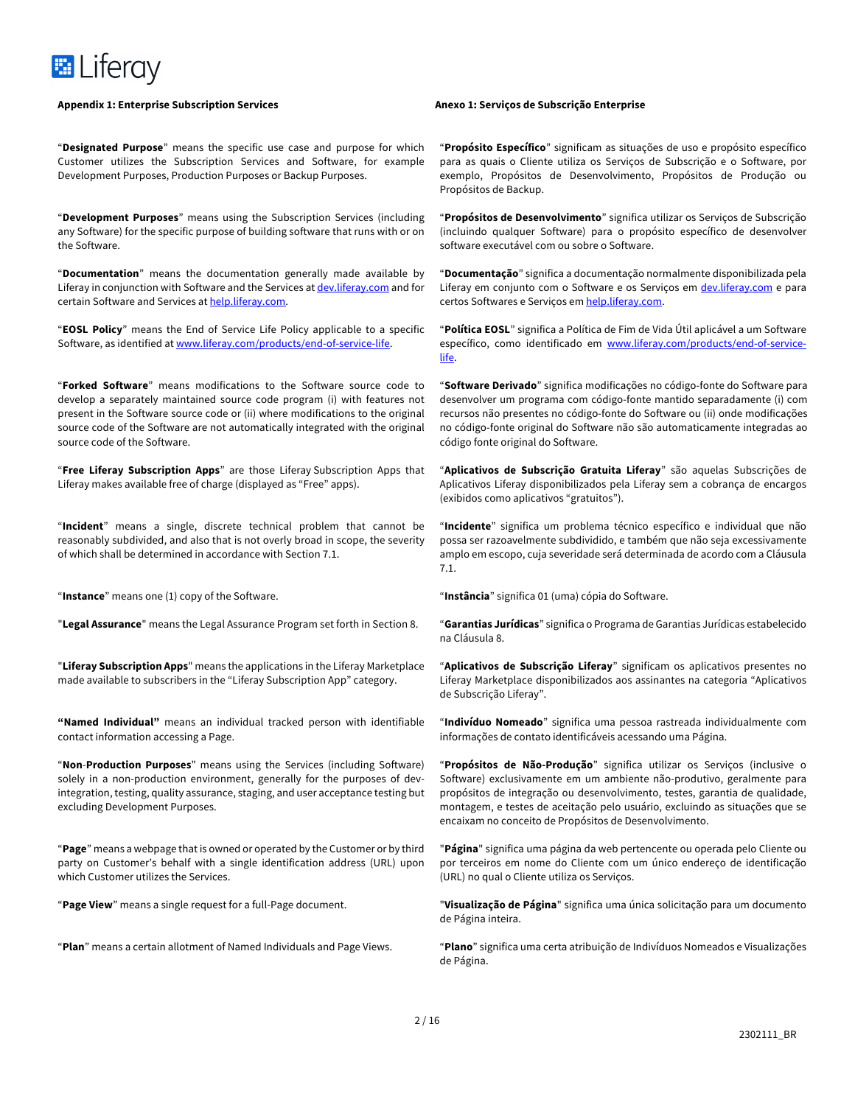

"**Designated Purpose**" means the specific use case and purpose for which Customer utilizes the Subscription Services and Software, for example Development Purposes, Production Purposes or Backup Purposes.

"**Development Purposes**" means using the Subscription Services (including any Software) for the specific purpose of building software that runs with or on the Software.

"**Documentation**" means the documentation generally made available by Liferay in conjunction with Software and the Services at dev.liferay.com and for certain Software and Services at help.liferay.com.

"**EOSL Policy**" means the End of Service Life Policy applicable to a specific Software, as identified at www.liferay.com/products/end-of-service-life.

"**Forked Software**" means modifications to the Software source code to develop a separately maintained source code program (i) with features not present in the Software source code or (ii) where modifications to the original source code of the Software are not automatically integrated with the original source code of the Software.

"**Free Liferay Subscription Apps**" are those Liferay Subscription Apps that Liferay makes available free of charge (displayed as "Free" apps).

"**Incident**" means a single, discrete technical problem that cannot be reasonably subdivided, and also that is not overly broad in scope, the severity of which shall be determined in accordance with Section 7.1.

"**Instance**" means one (1) copy of the Software.

"**Legal Assurance**" means the Legal Assurance Program set forth in Section 8.

"**Liferay Subscription Apps**" means the applications in the Liferay Marketplace made available to subscribers in the "Liferay Subscription App" category.

**"Named Individual"** means an individual tracked person with identifiable contact information accessing a Page.

"**Non**-**Production Purposes**" means using the Services (including Software) solely in a non-production environment, generally for the purposes of devintegration, testing, quality assurance, staging, and user acceptance testing but excluding Development Purposes.

"**Page**" means a webpage that is owned or operated by the Customer or by third party on Customer's behalf with a single identification address (URL) upon which Customer utilizes the Services.

"**Page View**" means a single request for a full-Page document.

"**Plan**" means a certain allotment of Named Individuals and Page Views.

"**Propósito Específico**" significam as situações de uso e propósito específico para as quais o Cliente utiliza os Serviços de Subscrição e o Software, por exemplo, Propósitos de Desenvolvimento, Propósitos de Produção ou Propósitos de Backup.

"**Propósitos de Desenvolvimento**" significa utilizar os Serviços de Subscrição (incluindo qualquer Software) para o propósito específico de desenvolver software executável com ou sobre o Software.

"**Documentação**" significa a documentação normalmente disponibilizada pela Liferay em conjunto com o Software e os Serviços em dev. liferay.com e para certos Softwares e Serviços em help.liferay.com.

"**Política EOSL**" significa a Política de Fim de Vida Útil aplicável a um Software específico, como identificado em www.liferay.com/products/end-of-servicelife.

"**Software Derivado**" significa modificações no código-fonte do Software para desenvolver um programa com código-fonte mantido separadamente (i) com recursos não presentes no código-fonte do Software ou (ii) onde modificações no código-fonte original do Software não são automaticamente integradas ao código fonte original do Software.

"**Aplicativos de Subscrição Gratuita Liferay**" são aquelas Subscrições de Aplicativos Liferay disponibilizados pela Liferay sem a cobrança de encargos (exibidos como aplicativos "gratuitos").

"**Incidente**" significa um problema técnico específico e individual que não possa ser razoavelmente subdividido, e também que não seja excessivamente amplo em escopo, cuja severidade será determinada de acordo com a Cláusula 7.1.

"**Instância**" significa 01 (uma) cópia do Software.

"**Garantias Jurídicas**" significa o Programa de Garantias Jurídicas estabelecido na Cláusula 8.

"**Aplicativos de Subscrição Liferay**" significam os aplicativos presentes no Liferay Marketplace disponibilizados aos assinantes na categoria "Aplicativos de Subscrição Liferay".

"**Indivíduo Nomeado**" significa uma pessoa rastreada individualmente com informações de contato identificáveis acessando uma Página.

"**Propósitos de Não-Produção**" significa utilizar os Serviços (inclusive o Software) exclusivamente em um ambiente não-produtivo, geralmente para propósitos de integração ou desenvolvimento, testes, garantia de qualidade, montagem, e testes de aceitação pelo usuário, excluindo as situações que se encaixam no conceito de Propósitos de Desenvolvimento.

"**Página**" significa uma página da web pertencente ou operada pelo Cliente ou por terceiros em nome do Cliente com um único endereço de identificação (URL) no qual o Cliente utiliza os Serviços.

"**Visualização de Página**" significa uma única solicitação para um documento de Página inteira.

"**Plano**" significa uma certa atribuição de Indivíduos Nomeados e Visualizações de Página.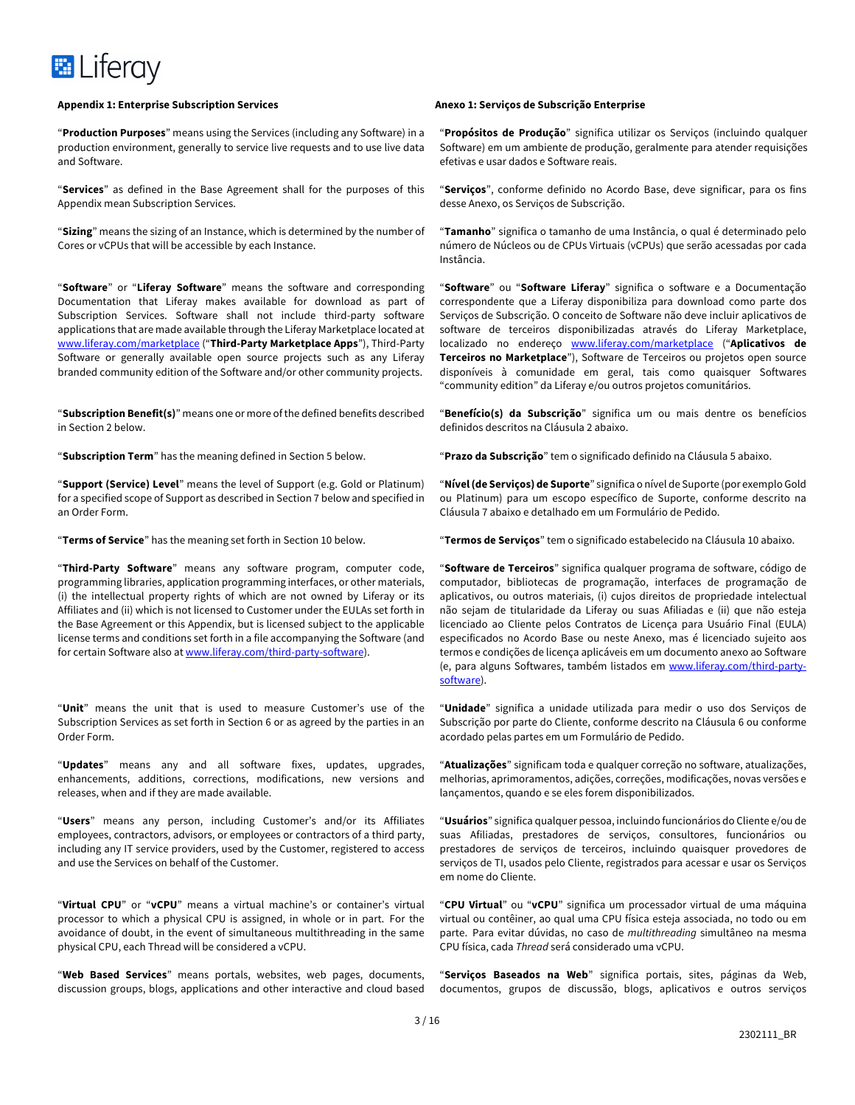

"**Production Purposes**" means using the Services (including any Software) in a production environment, generally to service live requests and to use live data and Software.

"**Services**" as defined in the Base Agreement shall for the purposes of this Appendix mean Subscription Services.

"**Sizing**" means the sizing of an Instance, which is determined by the number of Cores or vCPUs that will be accessible by each Instance.

"**Software**" or "**Liferay Software**" means the software and corresponding Documentation that Liferay makes available for download as part of Subscription Services. Software shall not include third-party software applications that are made available through the Liferay Marketplace located at www.liferay.com/marketplace ("**Third-Party Marketplace Apps**"), Third-Party Software or generally available open source projects such as any Liferay branded community edition of the Software and/or other community projects.

"**Subscription Benefit(s)**" means one or more of the defined benefits described in Section 2 below.

"**Subscription Term**" has the meaning defined in Section 5 below.

"**Support (Service) Level**" means the level of Support (e.g. Gold or Platinum) for a specified scope of Support as described in Section 7 below and specified in an Order Form.

"**Terms of Service**" has the meaning set forth in Section 10 below.

"**Third-Party Software**" means any software program, computer code, programming libraries, application programming interfaces, or other materials, (i) the intellectual property rights of which are not owned by Liferay or its Affiliates and (ii) which is not licensed to Customer under the EULAs set forth in the Base Agreement or this Appendix, but is licensed subject to the applicable license terms and conditions set forth in a file accompanying the Software (and for certain Software also at www.liferay.com/third-party-software).

"**Unit**" means the unit that is used to measure Customer's use of the Subscription Services as set forth in Section 6 or as agreed by the parties in an Order Form.

"**Updates**" means any and all software fixes, updates, upgrades, enhancements, additions, corrections, modifications, new versions and releases, when and if they are made available.

"**Users**" means any person, including Customer's and/or its Affiliates employees, contractors, advisors, or employees or contractors of a third party, including any IT service providers, used by the Customer, registered to access and use the Services on behalf of the Customer.

"**Virtual CPU**" or "**vCPU**" means a virtual machine's or container's virtual processor to which a physical CPU is assigned, in whole or in part. For the avoidance of doubt, in the event of simultaneous multithreading in the same physical CPU, each Thread will be considered a vCPU.

"**Web Based Services**" means portals, websites, web pages, documents, discussion groups, blogs, applications and other interactive and cloud based

"**Propósitos de Produção**" significa utilizar os Serviços (incluindo qualquer Software) em um ambiente de produção, geralmente para atender requisições efetivas e usar dados e Software reais.

"**Serviços**", conforme definido no Acordo Base, deve significar, para os fins desse Anexo, os Serviços de Subscrição.

"**Tamanho**" significa o tamanho de uma Instância, o qual é determinado pelo número de Núcleos ou de CPUs Virtuais (vCPUs) que serão acessadas por cada Instância.

"**Software**" ou "**Software Liferay**" significa o software e a Documentação correspondente que a Liferay disponibiliza para download como parte dos Serviços de Subscrição. O conceito de Software não deve incluir aplicativos de software de terceiros disponibilizadas através do Liferay Marketplace, localizado no endereço www.liferay.com/marketplace ("**Aplicativos de Terceiros no Marketplace**"), Software de Terceiros ou projetos open source disponíveis à comunidade em geral, tais como quaisquer Softwares "community edition" da Liferay e/ou outros projetos comunitários.

"**Benefício(s) da Subscrição**" significa um ou mais dentre os benefícios definidos descritos na Cláusula 2 abaixo.

"**Prazo da Subscrição**" tem o significado definido na Cláusula 5 abaixo.

"**Nível (de Serviços) de Suporte**" significa o nível de Suporte (por exemplo Gold ou Platinum) para um escopo específico de Suporte, conforme descrito na Cláusula 7 abaixo e detalhado em um Formulário de Pedido.

"**Termos de Serviços**" tem o significado estabelecido na Cláusula 10 abaixo.

"**Software de Terceiros**" significa qualquer programa de software, código de computador, bibliotecas de programação, interfaces de programação de aplicativos, ou outros materiais, (i) cujos direitos de propriedade intelectual não sejam de titularidade da Liferay ou suas Afiliadas e (ii) que não esteja licenciado ao Cliente pelos Contratos de Licença para Usuário Final (EULA) especificados no Acordo Base ou neste Anexo, mas é licenciado sujeito aos termos e condições de licença aplicáveis em um documento anexo ao Software (e, para alguns Softwares, também listados em www.liferay.com/third-partysoftware).

"**Unidade**" significa a unidade utilizada para medir o uso dos Serviços de Subscrição por parte do Cliente, conforme descrito na Cláusula 6 ou conforme acordado pelas partes em um Formulário de Pedido.

"**Atualizações**" significam toda e qualquer correção no software, atualizações, melhorias, aprimoramentos, adições, correções, modificações, novas versões e lançamentos, quando e se eles forem disponibilizados.

"**Usuários**" significa qualquer pessoa, incluindo funcionários do Cliente e/ou de suas Afiliadas, prestadores de serviços, consultores, funcionários ou prestadores de serviços de terceiros, incluindo quaisquer provedores de serviços de TI, usados pelo Cliente, registrados para acessar e usar os Serviços em nome do Cliente.

"**CPU Virtual**" ou "**vCPU**" significa um processador virtual de uma máquina virtual ou contêiner, ao qual uma CPU física esteja associada, no todo ou em parte. Para evitar dúvidas, no caso de *multithreading* simultâneo na mesma CPU física, cada *Thread* será considerado uma vCPU.

"**Serviços Baseados na Web**" significa portais, sites, páginas da Web, documentos, grupos de discussão, blogs, aplicativos e outros serviços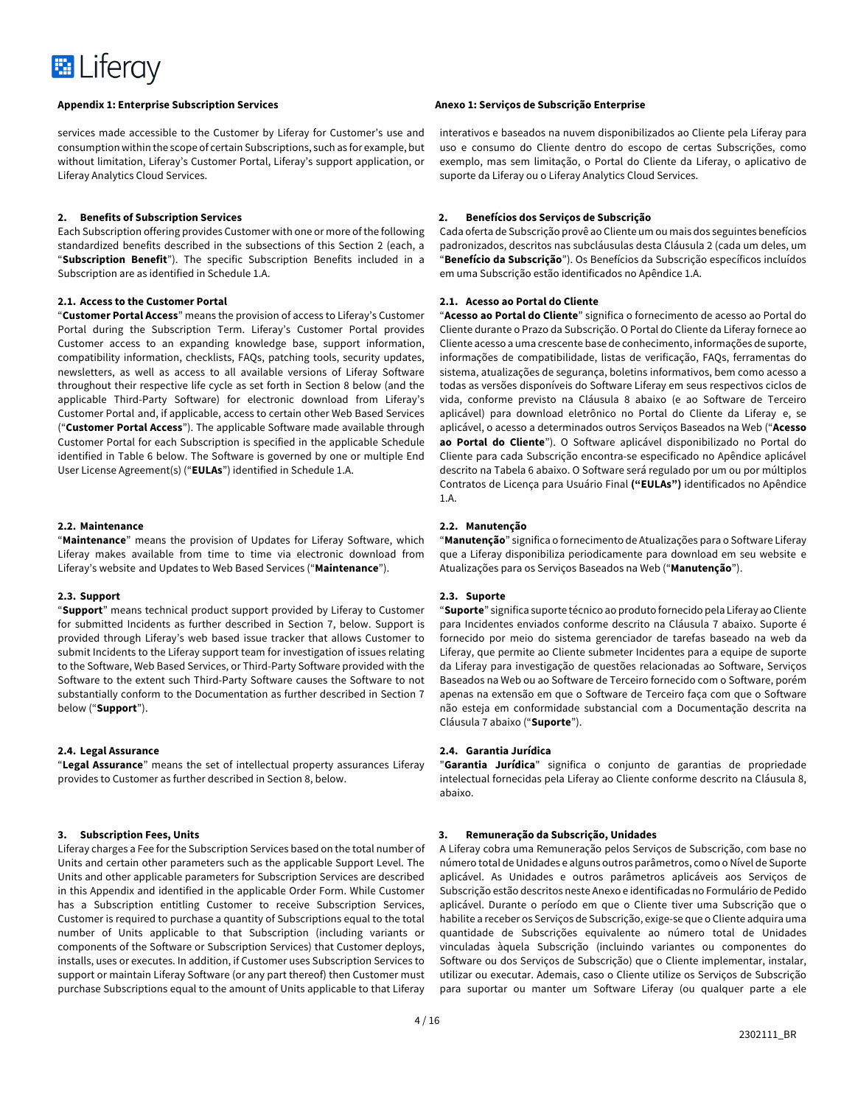

services made accessible to the Customer by Liferay for Customer's use and consumption within the scope of certain Subscriptions, such as for example, but without limitation, Liferay's Customer Portal, Liferay's support application, or Liferay Analytics Cloud Services.

#### **2. Benefits of Subscription Services**

Each Subscription offering provides Customer with one or more of the following standardized benefits described in the subsections of this Section 2 (each, a "**Subscription Benefit**"). The specific Subscription Benefits included in a Subscription are as identified in Schedule 1.A.

### **2.1. Access to the Customer Portal**

"**Customer Portal Access**" means the provision of access to Liferay's Customer Portal during the Subscription Term. Liferay's Customer Portal provides Customer access to an expanding knowledge base, support information, compatibility information, checklists, FAQs, patching tools, security updates, newsletters, as well as access to all available versions of Liferay Software throughout their respective life cycle as set forth in Section 8 below (and the applicable Third-Party Software) for electronic download from Liferay's Customer Portal and, if applicable, access to certain other Web Based Services ("**Customer Portal Access**"). The applicable Software made available through Customer Portal for each Subscription is specified in the applicable Schedule identified in Table 6 below. The Software is governed by one or multiple End User License Agreement(s) ("**EULAs**") identified in Schedule 1.A.

#### **2.2. Maintenance**

"**Maintenance**" means the provision of Updates for Liferay Software, which Liferay makes available from time to time via electronic download from Liferay's website and Updates to Web Based Services ("**Maintenance**").

# **2.3. Support**

"**Support**" means technical product support provided by Liferay to Customer for submitted Incidents as further described in Section 7, below. Support is provided through Liferay's web based issue tracker that allows Customer to submit Incidents to the Liferay support team for investigation of issues relating to the Software, Web Based Services, or Third-Party Software provided with the Software to the extent such Third-Party Software causes the Software to not substantially conform to the Documentation as further described in Section 7 below ("**Support**").

#### **2.4. Legal Assurance**

"**Legal Assurance**" means the set of intellectual property assurances Liferay provides to Customer as further described in Section 8, below.

# **3. Subscription Fees, Units**

Liferay charges a Fee for the Subscription Services based on the total number of Units and certain other parameters such as the applicable Support Level. The Units and other applicable parameters for Subscription Services are described in this Appendix and identified in the applicable Order Form. While Customer has a Subscription entitling Customer to receive Subscription Services, Customer is required to purchase a quantity of Subscriptions equal to the total number of Units applicable to that Subscription (including variants or components of the Software or Subscription Services) that Customer deploys, installs, uses or executes. In addition, if Customer uses Subscription Services to support or maintain Liferay Software (or any part thereof) then Customer must purchase Subscriptions equal to the amount of Units applicable to that Liferay

interativos e baseados na nuvem disponibilizados ao Cliente pela Liferay para uso e consumo do Cliente dentro do escopo de certas Subscrições, como exemplo, mas sem limitação, o Portal do Cliente da Liferay, o aplicativo de suporte da Liferay ou o Liferay Analytics Cloud Services.

#### **2. Benefícios dos Serviços de Subscrição**

Cada oferta de Subscrição provê ao Cliente um ou mais dos seguintes benefícios padronizados, descritos nas subcláusulas desta Cláusula 2 (cada um deles, um "**Benefício da Subscrição**"). Os Benefícios da Subscrição específicos incluídos em uma Subscrição estão identificados no Apêndice 1.A.

## **2.1. Acesso ao Portal do Cliente**

"**Acesso ao Portal do Cliente**" significa o fornecimento de acesso ao Portal do Cliente durante o Prazo da Subscrição. O Portal do Cliente da Liferay fornece ao Cliente acesso a uma crescente base de conhecimento, informações de suporte, informações de compatibilidade, listas de verificação, FAQs, ferramentas do sistema, atualizações de segurança, boletins informativos, bem como acesso a todas as versões disponíveis do Software Liferay em seus respectivos ciclos de vida, conforme previsto na Cláusula 8 abaixo (e ao Software de Terceiro aplicável) para download eletrônico no Portal do Cliente da Liferay e, se aplicável, o acesso a determinados outros Serviços Baseados na Web ("**Acesso ao Portal do Cliente**"). O Software aplicável disponibilizado no Portal do Cliente para cada Subscrição encontra-se especificado no Apêndice aplicável descrito na Tabela 6 abaixo. O Software será regulado por um ou por múltiplos Contratos de Licença para Usuário Final **("EULAs")** identificados no Apêndice 1.A.

#### **2.2. Manutenção**

"**Manutenção**" significa o fornecimento de Atualizações para o Software Liferay que a Liferay disponibiliza periodicamente para download em seu website e Atualizações para os Serviços Baseados na Web ("**Manutenção**").

# **2.3. Suporte**

"**Suporte**" significa suporte técnico ao produto fornecido pela Liferay ao Cliente para Incidentes enviados conforme descrito na Cláusula 7 abaixo. Suporte é fornecido por meio do sistema gerenciador de tarefas baseado na web da Liferay, que permite ao Cliente submeter Incidentes para a equipe de suporte da Liferay para investigação de questões relacionadas ao Software, Serviços Baseados na Web ou ao Software de Terceiro fornecido com o Software, porém apenas na extensão em que o Software de Terceiro faça com que o Software não esteja em conformidade substancial com a Documentação descrita na Cláusula 7 abaixo ("**Suporte**").

### **2.4. Garantia Jurídica**

"**Garantia Jurídica**" significa o conjunto de garantias de propriedade intelectual fornecidas pela Liferay ao Cliente conforme descrito na Cláusula 8, abaixo.

# **3. Remuneração da Subscrição, Unidades**

A Liferay cobra uma Remuneração pelos Serviços de Subscrição, com base no número total de Unidades e alguns outros parâmetros, como o Nível de Suporte aplicável. As Unidades e outros parâmetros aplicáveis aos Serviços de Subscrição estão descritos neste Anexo e identificadas no Formulário de Pedido aplicável. Durante o período em que o Cliente tiver uma Subscrição que o habilite a receber os Serviços de Subscrição, exige-se que o Cliente adquira uma quantidade de Subscrições equivalente ao número total de Unidades vinculadas àquela Subscrição (incluindo variantes ou componentes do Software ou dos Serviços de Subscrição) que o Cliente implementar, instalar, utilizar ou executar. Ademais, caso o Cliente utilize os Serviços de Subscrição para suportar ou manter um Software Liferay (ou qualquer parte a ele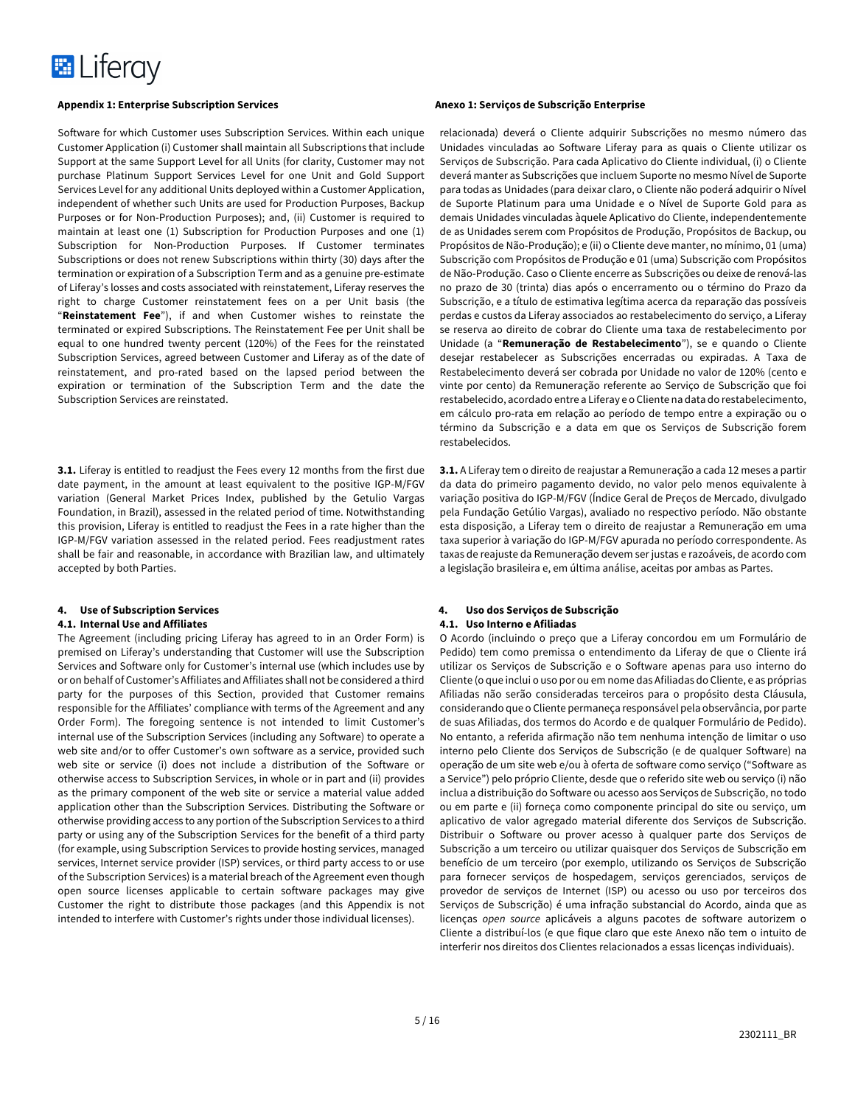

Software for which Customer uses Subscription Services. Within each unique Customer Application (i) Customer shall maintain all Subscriptions that include Support at the same Support Level for all Units (for clarity, Customer may not purchase Platinum Support Services Level for one Unit and Gold Support Services Level for any additional Units deployed within a Customer Application, independent of whether such Units are used for Production Purposes, Backup Purposes or for Non-Production Purposes); and, (ii) Customer is required to maintain at least one (1) Subscription for Production Purposes and one (1) Subscription for Non-Production Purposes. If Customer terminates Subscriptions or does not renew Subscriptions within thirty (30) days after the termination or expiration of a Subscription Term and as a genuine pre-estimate of Liferay's losses and costs associated with reinstatement, Liferay reserves the right to charge Customer reinstatement fees on a per Unit basis (the "**Reinstatement Fee**"), if and when Customer wishes to reinstate the terminated or expired Subscriptions. The Reinstatement Fee per Unit shall be equal to one hundred twenty percent (120%) of the Fees for the reinstated Subscription Services, agreed between Customer and Liferay as of the date of reinstatement, and pro-rated based on the lapsed period between the expiration or termination of the Subscription Term and the date the Subscription Services are reinstated.

**3.1.** Liferay is entitled to readjust the Fees every 12 months from the first due date payment, in the amount at least equivalent to the positive IGP-M/FGV variation (General Market Prices Index, published by the Getulio Vargas Foundation, in Brazil), assessed in the related period of time. Notwithstanding this provision, Liferay is entitled to readjust the Fees in a rate higher than the IGP-M/FGV variation assessed in the related period. Fees readjustment rates shall be fair and reasonable, in accordance with Brazilian law, and ultimately accepted by both Parties.

# **4. Use of Subscription Services**

### **4.1. Internal Use and Affiliates**

The Agreement (including pricing Liferay has agreed to in an Order Form) is premised on Liferay's understanding that Customer will use the Subscription Services and Software only for Customer's internal use (which includes use by or on behalf of Customer's Affiliates and Affiliates shall not be considered a third party for the purposes of this Section, provided that Customer remains responsible for the Affiliates' compliance with terms of the Agreement and any Order Form). The foregoing sentence is not intended to limit Customer's internal use of the Subscription Services (including any Software) to operate a web site and/or to offer Customer's own software as a service, provided such web site or service (i) does not include a distribution of the Software or otherwise access to Subscription Services, in whole or in part and (ii) provides as the primary component of the web site or service a material value added application other than the Subscription Services. Distributing the Software or otherwise providing access to any portion of the Subscription Services to a third party or using any of the Subscription Services for the benefit of a third party (for example, using Subscription Services to provide hosting services, managed services, Internet service provider (ISP) services, or third party access to or use of the Subscription Services) is a material breach of the Agreement even though open source licenses applicable to certain software packages may give Customer the right to distribute those packages (and this Appendix is not intended to interfere with Customer's rights under those individual licenses).

relacionada) deverá o Cliente adquirir Subscrições no mesmo número das Unidades vinculadas ao Software Liferay para as quais o Cliente utilizar os Serviços de Subscrição. Para cada Aplicativo do Cliente individual, (i) o Cliente deverá manter as Subscrições que incluem Suporte no mesmo Nível de Suporte para todas as Unidades (para deixar claro, o Cliente não poderá adquirir o Nível de Suporte Platinum para uma Unidade e o Nível de Suporte Gold para as demais Unidades vinculadas àquele Aplicativo do Cliente, independentemente de as Unidades serem com Propósitos de Produção, Propósitos de Backup, ou Propósitos de Não-Produção); e (ii) o Cliente deve manter, no mínimo, 01 (uma) Subscrição com Propósitos de Produção e 01 (uma) Subscrição com Propósitos de Não-Produção. Caso o Cliente encerre as Subscrições ou deixe de renová-las no prazo de 30 (trinta) dias após o encerramento ou o término do Prazo da Subscrição, e a título de estimativa legítima acerca da reparação das possíveis perdas e custos da Liferay associados ao restabelecimento do serviço, a Liferay se reserva ao direito de cobrar do Cliente uma taxa de restabelecimento por Unidade (a "**Remuneração de Restabelecimento**"), se e quando o Cliente desejar restabelecer as Subscrições encerradas ou expiradas. A Taxa de Restabelecimento deverá ser cobrada por Unidade no valor de 120% (cento e vinte por cento) da Remuneração referente ao Serviço de Subscrição que foi restabelecido, acordado entre a Liferay e o Cliente na data do restabelecimento, em cálculo pro-rata em relação ao período de tempo entre a expiração ou o término da Subscrição e a data em que os Serviços de Subscrição forem restabelecidos.

**3.1.** A Liferay tem o direito de reajustar a Remuneração a cada 12 meses a partir da data do primeiro pagamento devido, no valor pelo menos equivalente à variação positiva do IGP-M/FGV (Índice Geral de Preços de Mercado, divulgado pela Fundação Getúlio Vargas), avaliado no respectivo período. Não obstante esta disposição, a Liferay tem o direito de reajustar a Remuneração em uma taxa superior à variação do IGP-M/FGV apurada no período correspondente. As taxas de reajuste da Remuneração devem ser justas e razoáveis, de acordo com a legislação brasileira e, em última análise, aceitas por ambas as Partes.

# **4. Uso dos Serviços de Subscrição 4.1. Uso Interno e Afiliadas**

O Acordo (incluindo o preço que a Liferay concordou em um Formulário de Pedido) tem como premissa o entendimento da Liferay de que o Cliente irá utilizar os Serviços de Subscrição e o Software apenas para uso interno do Cliente (o que inclui o uso por ou em nome das Afiliadas do Cliente, e as próprias Afiliadas não serão consideradas terceiros para o propósito desta Cláusula, considerando que o Cliente permaneça responsável pela observância, por parte de suas Afiliadas, dos termos do Acordo e de qualquer Formulário de Pedido). No entanto, a referida afirmação não tem nenhuma intenção de limitar o uso interno pelo Cliente dos Serviços de Subscrição (e de qualquer Software) na operação de um site web e/ou à oferta de software como serviço ("Software as a Service") pelo próprio Cliente, desde que o referido site web ou serviço (i) não inclua a distribuição do Software ou acesso aos Serviços de Subscrição, no todo ou em parte e (ii) forneça como componente principal do site ou serviço, um aplicativo de valor agregado material diferente dos Serviços de Subscrição. Distribuir o Software ou prover acesso à qualquer parte dos Serviços de Subscrição a um terceiro ou utilizar quaisquer dos Serviços de Subscrição em benefício de um terceiro (por exemplo, utilizando os Serviços de Subscrição para fornecer serviços de hospedagem, serviços gerenciados, serviços de provedor de serviços de Internet (ISP) ou acesso ou uso por terceiros dos Serviços de Subscrição) é uma infração substancial do Acordo, ainda que as licenças *open source* aplicáveis a alguns pacotes de software autorizem o Cliente a distribuí-los (e que fique claro que este Anexo não tem o intuito de interferir nos direitos dos Clientes relacionados a essas licenças individuais).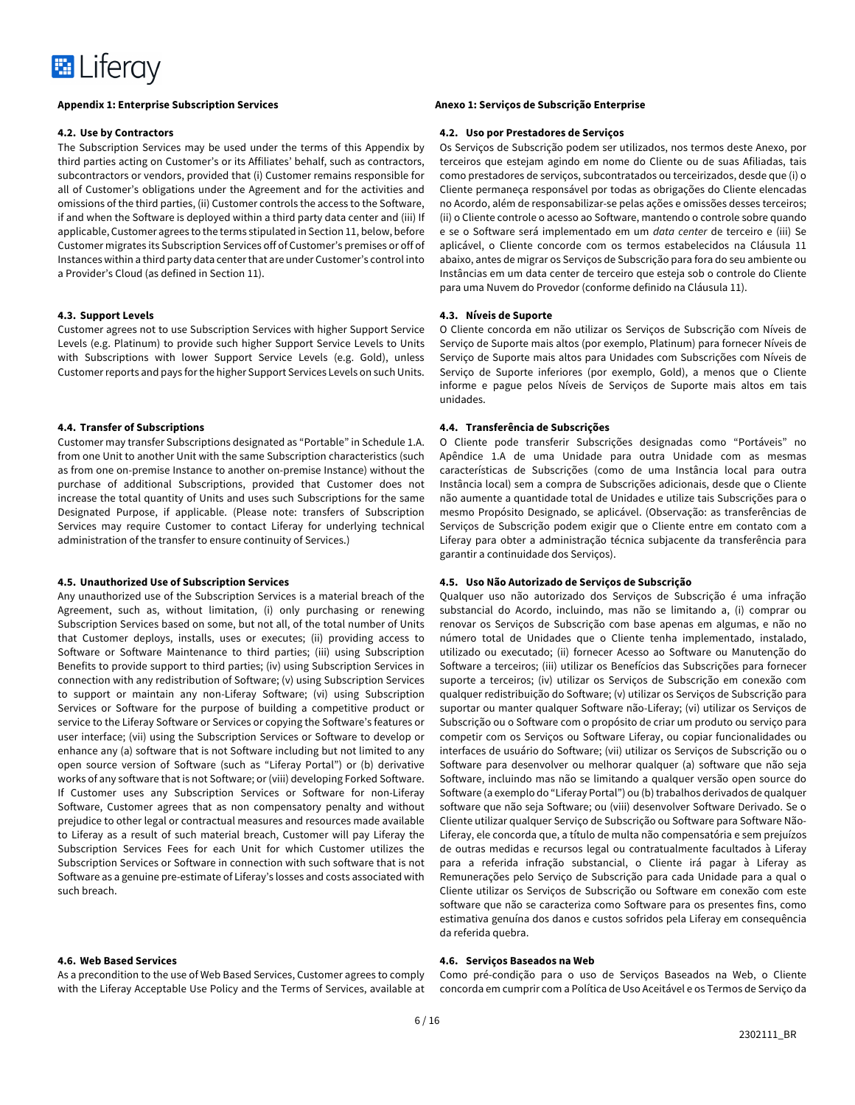

#### **4.2. Use by Contractors**

The Subscription Services may be used under the terms of this Appendix by third parties acting on Customer's or its Affiliates' behalf, such as contractors, subcontractors or vendors, provided that (i) Customer remains responsible for all of Customer's obligations under the Agreement and for the activities and omissions of the third parties, (ii) Customer controls the access to the Software, if and when the Software is deployed within a third party data center and (iii) If applicable, Customer agrees to the terms stipulated in Section 11, below, before Customer migrates its Subscription Services off of Customer's premises or off of Instances within a third party data center that are under Customer's control into a Provider's Cloud (as defined in Section 11).

#### **4.3. Support Levels**

Customer agrees not to use Subscription Services with higher Support Service Levels (e.g. Platinum) to provide such higher Support Service Levels to Units with Subscriptions with lower Support Service Levels (e.g. Gold), unless Customer reports and pays for the higher Support Services Levels on such Units.

# **4.4. Transfer of Subscriptions**

Customer may transfer Subscriptions designated as "Portable" in Schedule 1.A. from one Unit to another Unit with the same Subscription characteristics (such as from one on-premise Instance to another on-premise Instance) without the purchase of additional Subscriptions, provided that Customer does not increase the total quantity of Units and uses such Subscriptions for the same Designated Purpose, if applicable. (Please note: transfers of Subscription Services may require Customer to contact Liferay for underlying technical administration of the transfer to ensure continuity of Services.)

# **4.5. Unauthorized Use of Subscription Services**

Any unauthorized use of the Subscription Services is a material breach of the Agreement, such as, without limitation, (i) only purchasing or renewing Subscription Services based on some, but not all, of the total number of Units that Customer deploys, installs, uses or executes; (ii) providing access to Software or Software Maintenance to third parties; (iii) using Subscription Benefits to provide support to third parties; (iv) using Subscription Services in connection with any redistribution of Software; (v) using Subscription Services to support or maintain any non-Liferay Software; (vi) using Subscription Services or Software for the purpose of building a competitive product or service to the Liferay Software or Services or copying the Software's features or user interface; (vii) using the Subscription Services or Software to develop or enhance any (a) software that is not Software including but not limited to any open source version of Software (such as "Liferay Portal") or (b) derivative works of any software that is not Software; or (viii) developing Forked Software. If Customer uses any Subscription Services or Software for non-Liferay Software, Customer agrees that as non compensatory penalty and without prejudice to other legal or contractual measures and resources made available to Liferay as a result of such material breach, Customer will pay Liferay the Subscription Services Fees for each Unit for which Customer utilizes the Subscription Services or Software in connection with such software that is not Software as a genuine pre-estimate of Liferay's losses and costs associated with such breach.

# **4.6. Web Based Services**

As a precondition to the use of Web Based Services, Customer agrees to comply with the Liferay Acceptable Use Policy and the Terms of Services, available at

#### **4.2. Uso por Prestadores de Serviços**

Os Serviços de Subscrição podem ser utilizados, nos termos deste Anexo, por terceiros que estejam agindo em nome do Cliente ou de suas Afiliadas, tais como prestadores de serviços, subcontratados ou terceirizados, desde que (i) o Cliente permaneça responsável por todas as obrigações do Cliente elencadas no Acordo, além de responsabilizar-se pelas ações e omissões desses terceiros; (ii) o Cliente controle o acesso ao Software, mantendo o controle sobre quando e se o Software será implementado em um *data center* de terceiro e (iii) Se aplicável, o Cliente concorde com os termos estabelecidos na Cláusula 11 abaixo, antes de migrar os Serviços de Subscrição para fora do seu ambiente ou Instâncias em um data center de terceiro que esteja sob o controle do Cliente para uma Nuvem do Provedor (conforme definido na Cláusula 11).

#### **4.3. Níveis de Suporte**

O Cliente concorda em não utilizar os Serviços de Subscrição com Níveis de Serviço de Suporte mais altos (por exemplo, Platinum) para fornecer Níveis de Serviço de Suporte mais altos para Unidades com Subscrições com Níveis de Serviço de Suporte inferiores (por exemplo, Gold), a menos que o Cliente informe e pague pelos Níveis de Serviços de Suporte mais altos em tais unidades.

### **4.4. Transferência de Subscrições**

O Cliente pode transferir Subscrições designadas como "Portáveis" no Apêndice 1.A de uma Unidade para outra Unidade com as mesmas características de Subscrições (como de uma Instância local para outra Instância local) sem a compra de Subscrições adicionais, desde que o Cliente não aumente a quantidade total de Unidades e utilize tais Subscrições para o mesmo Propósito Designado, se aplicável. (Observação: as transferências de Serviços de Subscrição podem exigir que o Cliente entre em contato com a Liferay para obter a administração técnica subjacente da transferência para garantir a continuidade dos Serviços).

### **4.5. Uso Não Autorizado de Serviços de Subscrição**

Qualquer uso não autorizado dos Serviços de Subscrição é uma infração substancial do Acordo, incluindo, mas não se limitando a, (i) comprar ou renovar os Serviços de Subscrição com base apenas em algumas, e não no número total de Unidades que o Cliente tenha implementado, instalado, utilizado ou executado; (ii) fornecer Acesso ao Software ou Manutenção do Software a terceiros; (iii) utilizar os Benefícios das Subscrições para fornecer suporte a terceiros; (iv) utilizar os Serviços de Subscrição em conexão com qualquer redistribuição do Software; (v) utilizar os Serviços de Subscrição para suportar ou manter qualquer Software não-Liferay; (vi) utilizar os Serviços de Subscrição ou o Software com o propósito de criar um produto ou serviço para competir com os Serviços ou Software Liferay, ou copiar funcionalidades ou interfaces de usuário do Software; (vii) utilizar os Serviços de Subscrição ou o Software para desenvolver ou melhorar qualquer (a) software que não seja Software, incluindo mas não se limitando a qualquer versão open source do Software (a exemplo do "Liferay Portal") ou (b) trabalhos derivados de qualquer software que não seja Software; ou (viii) desenvolver Software Derivado. Se o Cliente utilizar qualquer Serviço de Subscrição ou Software para Software Não-Liferay, ele concorda que, a título de multa não compensatória e sem prejuízos de outras medidas e recursos legal ou contratualmente facultados à Liferay para a referida infração substancial, o Cliente irá pagar à Liferay as Remunerações pelo Serviço de Subscrição para cada Unidade para a qual o Cliente utilizar os Serviços de Subscrição ou Software em conexão com este software que não se caracteriza como Software para os presentes fins, como estimativa genuína dos danos e custos sofridos pela Liferay em consequência da referida quebra.

# **4.6. Serviços Baseados na Web**

Como pré-condição para o uso de Serviços Baseados na Web, o Cliente concorda em cumprir com a Política de Uso Aceitável e os Termos de Serviço da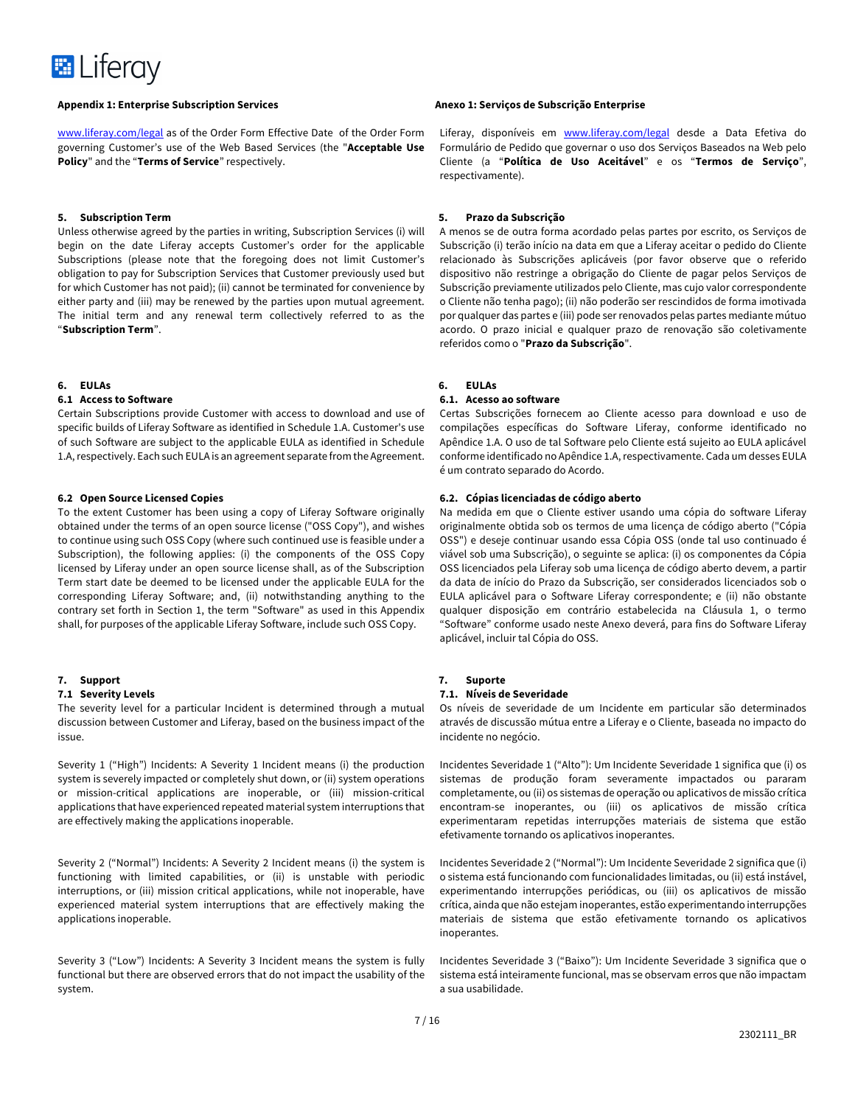

www.liferay.com/legal as of the Order Form Effective Date of the Order Form governing Customer's use of the Web Based Services (the "**Acceptable Use Policy**" and the "**Terms of Service**" respectively.

#### **5. Subscription Term**

Unless otherwise agreed by the parties in writing, Subscription Services (i) will begin on the date Liferay accepts Customer's order for the applicable Subscriptions (please note that the foregoing does not limit Customer's obligation to pay for Subscription Services that Customer previously used but for which Customer has not paid); (ii) cannot be terminated for convenience by either party and (iii) may be renewed by the parties upon mutual agreement. The initial term and any renewal term collectively referred to as the "**Subscription Term**".

#### **6. EULAs**

#### **6.1 Access to Software**

Certain Subscriptions provide Customer with access to download and use of specific builds of Liferay Software as identified in Schedule 1.A. Customer's use of such Software are subject to the applicable EULA as identified in Schedule 1.A, respectively. Each such EULA is an agreement separate from the Agreement.

#### **6.2 Open Source Licensed Copies**

To the extent Customer has been using a copy of Liferay Software originally obtained under the terms of an open source license ("OSS Copy"), and wishes to continue using such OSS Copy (where such continued use is feasible under a Subscription), the following applies: (i) the components of the OSS Copy licensed by Liferay under an open source license shall, as of the Subscription Term start date be deemed to be licensed under the applicable EULA for the corresponding Liferay Software; and, (ii) notwithstanding anything to the contrary set forth in Section 1, the term "Software" as used in this Appendix shall, for purposes of the applicable Liferay Software, include such OSS Copy.

### **7. Support**

#### **7.1 Severity Levels**

The severity level for a particular Incident is determined through a mutual discussion between Customer and Liferay, based on the business impact of the issue.

Severity 1 ("High") Incidents: A Severity 1 Incident means (i) the production system is severely impacted or completely shut down, or (ii) system operations or mission-critical applications are inoperable, or (iii) mission-critical applications that have experienced repeated material system interruptions that are effectively making the applications inoperable.

Severity 2 ("Normal") Incidents: A Severity 2 Incident means (i) the system is functioning with limited capabilities, or (ii) is unstable with periodic interruptions, or (iii) mission critical applications, while not inoperable, have experienced material system interruptions that are effectively making the applications inoperable.

Severity 3 ("Low") Incidents: A Severity 3 Incident means the system is fully functional but there are observed errors that do not impact the usability of the system.

Liferay, disponíveis em www.liferay.com/legal desde a Data Efetiva do Formulário de Pedido que governar o uso dos Serviços Baseados na Web pelo Cliente (a "**Política de Uso Aceitável**" e os "**Termos de Serviço**", respectivamente).

### **5. Prazo da Subscrição**

A menos se de outra forma acordado pelas partes por escrito, os Serviços de Subscrição (i) terão início na data em que a Liferay aceitar o pedido do Cliente relacionado às Subscrições aplicáveis (por favor observe que o referido dispositivo não restringe a obrigação do Cliente de pagar pelos Serviços de Subscrição previamente utilizados pelo Cliente, mas cujo valor correspondente o Cliente não tenha pago); (ii) não poderão ser rescindidos de forma imotivada por qualquer das partes e (iii) pode ser renovados pelas partes mediante mútuo acordo. O prazo inicial e qualquer prazo de renovação são coletivamente referidos como o "**Prazo da Subscrição**".

#### **6. EULAs**

#### **6.1. Acesso ao software**

Certas Subscrições fornecem ao Cliente acesso para download e uso de compilações específicas do Software Liferay, conforme identificado no Apêndice 1.A. O uso de tal Software pelo Cliente está sujeito ao EULA aplicável conforme identificado no Apêndice 1.A, respectivamente. Cada um desses EULA é um contrato separado do Acordo.

### **6.2. Cópias licenciadas de código aberto**

Na medida em que o Cliente estiver usando uma cópia do software Liferay originalmente obtida sob os termos de uma licença de código aberto ("Cópia OSS") e deseje continuar usando essa Cópia OSS (onde tal uso continuado é viável sob uma Subscrição), o seguinte se aplica: (i) os componentes da Cópia OSS licenciados pela Liferay sob uma licença de código aberto devem, a partir da data de início do Prazo da Subscrição, ser considerados licenciados sob o EULA aplicável para o Software Liferay correspondente; e (ii) não obstante qualquer disposição em contrário estabelecida na Cláusula 1, o termo "Software" conforme usado neste Anexo deverá, para fins do Software Liferay aplicável, incluir tal Cópia do OSS.

### **7. Suporte**

#### **7.1. Níveis de Severidade**

Os níveis de severidade de um Incidente em particular são determinados através de discussão mútua entre a Liferay e o Cliente, baseada no impacto do incidente no negócio.

Incidentes Severidade 1 ("Alto"): Um Incidente Severidade 1 significa que (i) os sistemas de produção foram severamente impactados ou pararam completamente, ou (ii) os sistemas de operação ou aplicativos de missão crítica encontram-se inoperantes, ou (iii) os aplicativos de missão crítica experimentaram repetidas interrupções materiais de sistema que estão efetivamente tornando os aplicativos inoperantes.

Incidentes Severidade 2 ("Normal"): Um Incidente Severidade 2 significa que (i) o sistema está funcionando com funcionalidades limitadas, ou (ii) está instável, experimentando interrupções periódicas, ou (iii) os aplicativos de missão crítica, ainda que não estejam inoperantes, estão experimentando interrupções materiais de sistema que estão efetivamente tornando os aplicativos inoperantes.

Incidentes Severidade 3 ("Baixo"): Um Incidente Severidade 3 significa que o sistema está inteiramente funcional, mas se observam erros que não impactam a sua usabilidade.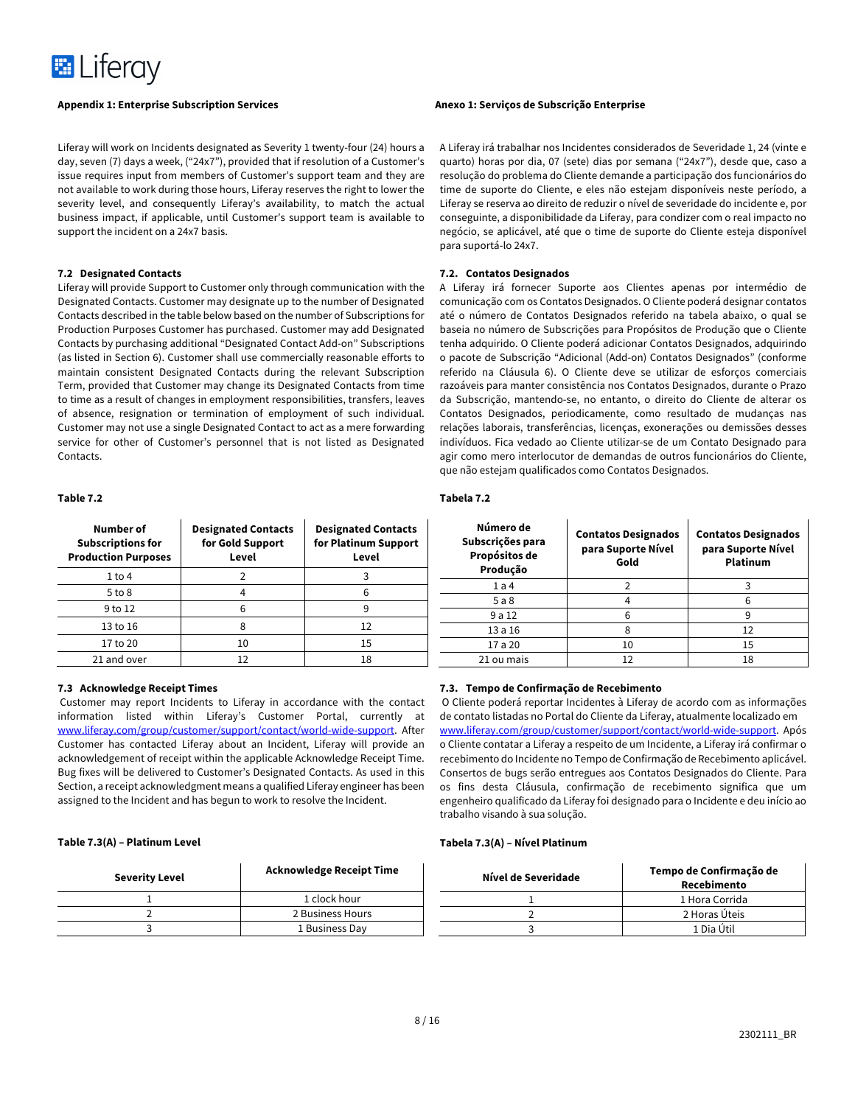

Liferay will work on Incidents designated as Severity 1 twenty-four (24) hours a day, seven (7) days a week, ("24x7"), provided that if resolution of a Customer's issue requires input from members of Customer's support team and they are not available to work during those hours, Liferay reserves the right to lower the severity level, and consequently Liferay's availability, to match the actual business impact, if applicable, until Customer's support team is available to support the incident on a 24x7 basis.

# **7.2 Designated Contacts**

Liferay will provide Support to Customer only through communication with the Designated Contacts. Customer may designate up to the number of Designated Contacts described in the table below based on the number of Subscriptions for Production Purposes Customer has purchased. Customer may add Designated Contacts by purchasing additional "Designated Contact Add-on" Subscriptions (as listed in Section 6). Customer shall use commercially reasonable efforts to maintain consistent Designated Contacts during the relevant Subscription Term, provided that Customer may change its Designated Contacts from time to time as a result of changes in employment responsibilities, transfers, leaves of absence, resignation or termination of employment of such individual. Customer may not use a single Designated Contact to act as a mere forwarding service for other of Customer's personnel that is not listed as Designated Contacts.

# **Table 7.2**

| Number of<br><b>Subscriptions for</b><br><b>Production Purposes</b> | <b>Designated Contacts</b><br>for Gold Support<br>Level | <b>Designated Contacts</b><br>for Platinum Support<br>Level |
|---------------------------------------------------------------------|---------------------------------------------------------|-------------------------------------------------------------|
| $1$ to $4$                                                          |                                                         |                                                             |
| $5$ to $8$                                                          |                                                         | 6                                                           |
| 9 to 12                                                             | հ                                                       | 9                                                           |
| 13 to 16                                                            | Ջ                                                       | 12                                                          |
| 17 to 20                                                            | 10                                                      | 15                                                          |
| 21 and over                                                         | 12                                                      | 18                                                          |

### **7.3 Acknowledge Receipt Times**

Customer may report Incidents to Liferay in accordance with the contact information listed within Liferay's Customer Portal, currently at www.liferay.com/group/customer/support/contact/world-wide-support. After Customer has contacted Liferay about an Incident, Liferay will provide an acknowledgement of receipt within the applicable Acknowledge Receipt Time. Bug fixes will be delivered to Customer's Designated Contacts. As used in this Section, a receipt acknowledgment means a qualified Liferay engineer has been assigned to the Incident and has begun to work to resolve the Incident.

#### **Table 7.3(A) – Platinum Level**

| <b>Severity Level</b> | <b>Acknowledge Receipt Time</b> |
|-----------------------|---------------------------------|
|                       | 1 clock hour                    |
|                       | 2 Business Hours                |
|                       | 1 Business Day                  |

A Liferay irá trabalhar nos Incidentes considerados de Severidade 1, 24 (vinte e quarto) horas por dia, 07 (sete) dias por semana ("24x7"), desde que, caso a resolução do problema do Cliente demande a participação dos funcionários do time de suporte do Cliente, e eles não estejam disponíveis neste período, a Liferay se reserva ao direito de reduzir o nível de severidade do incidente e, por conseguinte, a disponibilidade da Liferay, para condizer com o real impacto no negócio, se aplicável, até que o time de suporte do Cliente esteja disponível para suportá-lo 24x7.

### **7.2. Contatos Designados**

A Liferay irá fornecer Suporte aos Clientes apenas por intermédio de comunicação com os Contatos Designados. O Cliente poderá designar contatos até o número de Contatos Designados referido na tabela abaixo, o qual se baseia no número de Subscrições para Propósitos de Produção que o Cliente tenha adquirido. O Cliente poderá adicionar Contatos Designados, adquirindo o pacote de Subscrição "Adicional (Add-on) Contatos Designados" (conforme referido na Cláusula 6). O Cliente deve se utilizar de esforços comerciais razoáveis para manter consistência nos Contatos Designados, durante o Prazo da Subscrição, mantendo-se, no entanto, o direito do Cliente de alterar os Contatos Designados, periodicamente, como resultado de mudanças nas relações laborais, transferências, licenças, exonerações ou demissões desses indivíduos. Fica vedado ao Cliente utilizar-se de um Contato Designado para agir como mero interlocutor de demandas de outros funcionários do Cliente, que não estejam qualificados como Contatos Designados.

#### **Tabela 7.2**

| Número de<br>Subscrições para<br>Propósitos de<br>Produção | <b>Contatos Designados</b><br>para Suporte Nível<br>Gold | <b>Contatos Designados</b><br>para Suporte Nível<br>Platinum |
|------------------------------------------------------------|----------------------------------------------------------|--------------------------------------------------------------|
| 1a4                                                        |                                                          |                                                              |
| 5a8                                                        |                                                          |                                                              |
| 9 a 12                                                     |                                                          | 9                                                            |
| 13a16                                                      |                                                          | 12                                                           |
| 17 a 20                                                    | 10                                                       | 15                                                           |
| 21 ou mais                                                 | 12                                                       | 18                                                           |

# **7.3. Tempo de Confirmação de Recebimento**

O Cliente poderá reportar Incidentes à Liferay de acordo com as informações de contato listadas no Portal do Cliente da Liferay, atualmente localizado em www.liferay.com/group/customer/support/contact/world-wide-support. Após o Cliente contatar a Liferay a respeito de um Incidente, a Liferay irá confirmar o recebimento do Incidente no Tempo de Confirmação de Recebimento aplicável. Consertos de bugs serão entregues aos Contatos Designados do Cliente. Para os fins desta Cláusula, confirmação de recebimento significa que um engenheiro qualificado da Liferay foi designado para o Incidente e deu início ao trabalho visando à sua solução.

#### **Tabela 7.3(A) – Nível Platinum**

| Nível de Severidade | Tempo de Confirmação de<br>Recebimento |
|---------------------|----------------------------------------|
|                     | 1 Hora Corrida                         |
|                     | 2 Horas Úteis                          |
|                     | 1 Dia Útil                             |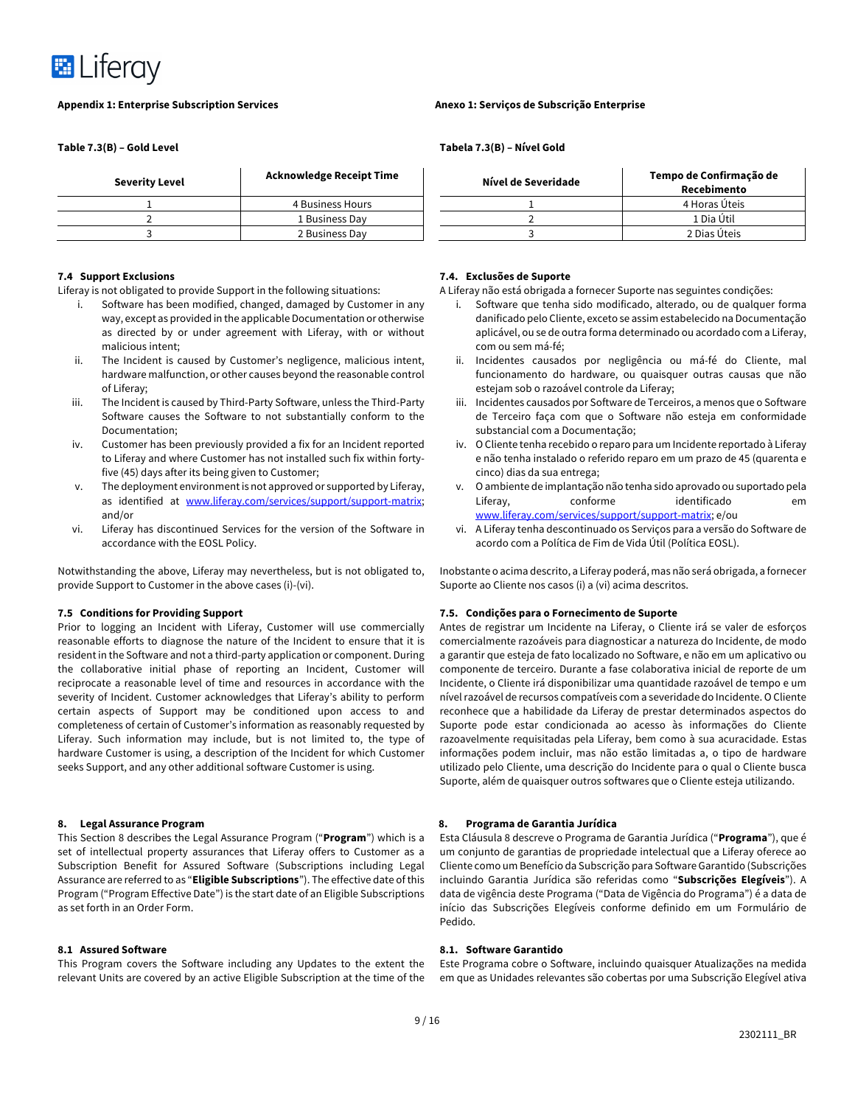

**Table 7.3(B) – Gold Level**

| <b>Severity Level</b> | <b>Acknowledge Receipt Time</b> |
|-----------------------|---------------------------------|
|                       | 4 Business Hours                |
|                       | 1 Business Day                  |
|                       | 2 Business Day                  |

# **7.4 Support Exclusions**

Liferay is not obligated to provide Support in the following situations:

- i. Software has been modified, changed, damaged by Customer in any way, except as provided in the applicable Documentation or otherwise as directed by or under agreement with Liferay, with or without malicious intent;
- ii. The Incident is caused by Customer's negligence, malicious intent, hardware malfunction, or other causes beyond the reasonable control of Liferay;
- iii. The Incident is caused by Third-Party Software, unless the Third-Party Software causes the Software to not substantially conform to the Documentation;
- iv. Customer has been previously provided a fix for an Incident reported to Liferay and where Customer has not installed such fix within fortyfive (45) days after its being given to Customer;
- v. The deployment environment is not approved or supported by Liferay, as identified at www.liferay.com/services/support/support-matrix; and/or
- vi. Liferay has discontinued Services for the version of the Software in accordance with the EOSL Policy.

Notwithstanding the above, Liferay may nevertheless, but is not obligated to, provide Support to Customer in the above cases (i)-(vi).

### **7.5 Conditions for Providing Support**

Prior to logging an Incident with Liferay, Customer will use commercially reasonable efforts to diagnose the nature of the Incident to ensure that it is resident in the Software and not a third-party application or component. During the collaborative initial phase of reporting an Incident, Customer will reciprocate a reasonable level of time and resources in accordance with the severity of Incident. Customer acknowledges that Liferay's ability to perform certain aspects of Support may be conditioned upon access to and completeness of certain of Customer's information as reasonably requested by Liferay. Such information may include, but is not limited to, the type of hardware Customer is using, a description of the Incident for which Customer seeks Support, and any other additional software Customer is using.

#### **8. Legal Assurance Program**

This Section 8 describes the Legal Assurance Program ("**Program**") which is a set of intellectual property assurances that Liferay offers to Customer as a Subscription Benefit for Assured Software (Subscriptions including Legal Assurance are referred to as "**Eligible Subscriptions**"). The effective date of this Program ("Program Effective Date") is the start date of an Eligible Subscriptions as set forth in an Order Form.

#### **8.1 Assured Software**

This Program covers the Software including any Updates to the extent the relevant Units are covered by an active Eligible Subscription at the time of the

# **Tabela 7.3(B) – Nível Gold**

| Acknowledge Receipt Time | Nível de Severidade | Tempo de Confirmação de<br>Recebimento |
|--------------------------|---------------------|----------------------------------------|
| 4 Business Hours         |                     | 4 Horas Úteis                          |
| 1 Business Dav           |                     | 1 Dia Útil                             |
| 2 Business Day           |                     | 2 Dias Úteis                           |

# **7.4. Exclusões de Suporte**

A Liferay não está obrigada a fornecer Suporte nas seguintes condições:

- i. Software que tenha sido modificado, alterado, ou de qualquer forma danificado pelo Cliente, exceto se assim estabelecido na Documentação aplicável, ou se de outra forma determinado ou acordado com a Liferay, com ou sem má-fé;
- ii. Incidentes causados por negligência ou má-fé do Cliente, mal funcionamento do hardware, ou quaisquer outras causas que não estejam sob o razoável controle da Liferay;
- iii. Incidentes causados por Software de Terceiros, a menos que o Software de Terceiro faça com que o Software não esteja em conformidade substancial com a Documentação;
- iv. O Cliente tenha recebido o reparo para um Incidente reportado à Liferay e não tenha instalado o referido reparo em um prazo de 45 (quarenta e cinco) dias da sua entrega;
- v. O ambiente de implantação não tenha sido aprovado ou suportado pela Liferay, conforme identificado em www.liferay.com/services/support/support-matrix; e/ou
- vi. A Liferay tenha descontinuado os Serviços para a versão do Software de acordo com a Política de Fim de Vida Útil (Política EOSL).

Inobstante o acima descrito, a Liferay poderá, mas não será obrigada, a fornecer Suporte ao Cliente nos casos (i) a (vi) acima descritos.

#### **7.5. Condições para o Fornecimento de Suporte**

Antes de registrar um Incidente na Liferay, o Cliente irá se valer de esforços comercialmente razoáveis para diagnosticar a natureza do Incidente, de modo a garantir que esteja de fato localizado no Software, e não em um aplicativo ou componente de terceiro. Durante a fase colaborativa inicial de reporte de um Incidente, o Cliente irá disponibilizar uma quantidade razoável de tempo e um nível razoável de recursos compatíveis com a severidade do Incidente. O Cliente reconhece que a habilidade da Liferay de prestar determinados aspectos do Suporte pode estar condicionada ao acesso às informações do Cliente razoavelmente requisitadas pela Liferay, bem como à sua acuracidade. Estas informações podem incluir, mas não estão limitadas a, o tipo de hardware utilizado pelo Cliente, uma descrição do Incidente para o qual o Cliente busca Suporte, além de quaisquer outros softwares que o Cliente esteja utilizando.

### **8. Programa de Garantia Jurídica**

Esta Cláusula 8 descreve o Programa de Garantia Jurídica ("**Programa**"), que é um conjunto de garantias de propriedade intelectual que a Liferay oferece ao Cliente como um Benefício da Subscrição para Software Garantido (Subscrições incluindo Garantia Jurídica são referidas como "**Subscrições Elegíveis**"). A data de vigência deste Programa ("Data de Vigência do Programa") é a data de início das Subscrições Elegíveis conforme definido em um Formulário de Pedido.

## **8.1. Software Garantido**

Este Programa cobre o Software, incluindo quaisquer Atualizações na medida em que as Unidades relevantes são cobertas por uma Subscrição Elegível ativa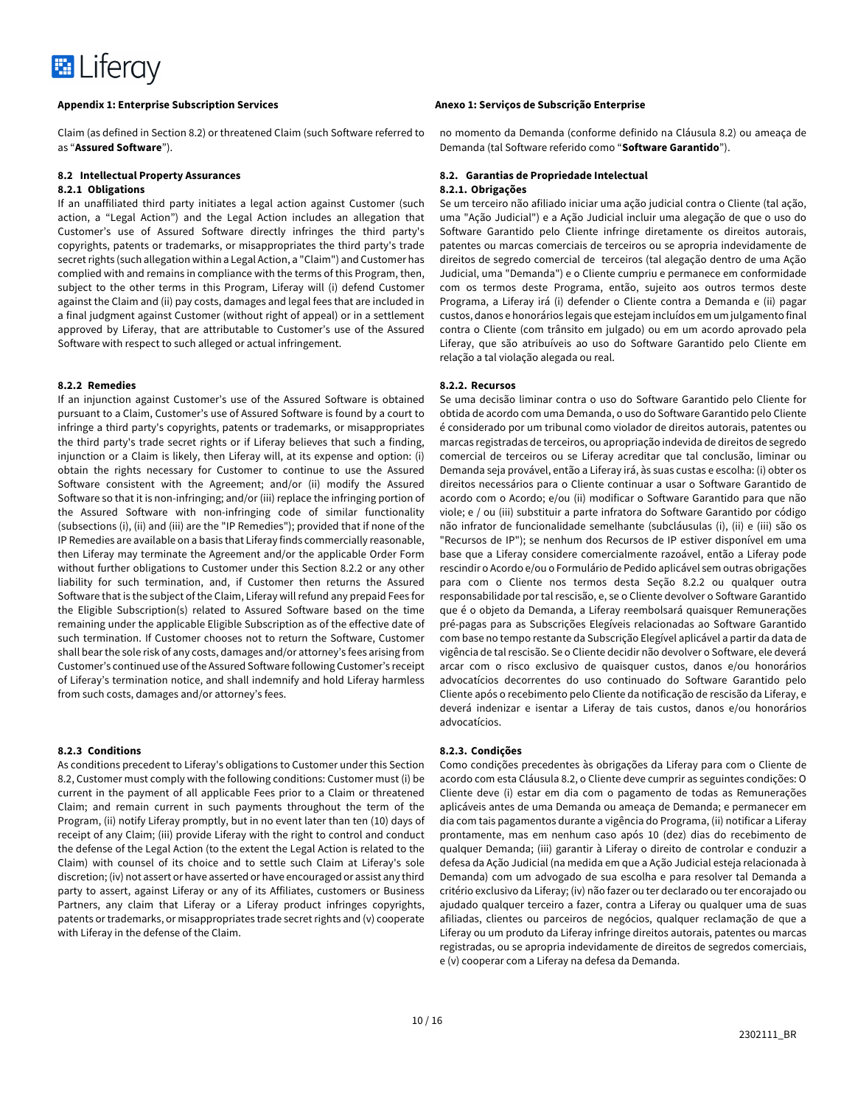

Claim (as defined in Section 8.2) or threatened Claim (such Software referred to as "**Assured Software**").

# **8.2 Intellectual Property Assurances**

# **8.2.1 Obligations**

If an unaffiliated third party initiates a legal action against Customer (such action, a "Legal Action") and the Legal Action includes an allegation that Customer's use of Assured Software directly infringes the third party's copyrights, patents or trademarks, or misappropriates the third party's trade secret rights (such allegation within a Legal Action, a "Claim") and Customer has complied with and remains in compliance with the terms of this Program, then, subject to the other terms in this Program, Liferay will (i) defend Customer against the Claim and (ii) pay costs, damages and legal fees that are included in a final judgment against Customer (without right of appeal) or in a settlement approved by Liferay, that are attributable to Customer's use of the Assured Software with respect to such alleged or actual infringement.

#### **8.2.2 Remedies**

If an injunction against Customer's use of the Assured Software is obtained pursuant to a Claim, Customer's use of Assured Software is found by a court to infringe a third party's copyrights, patents or trademarks, or misappropriates the third party's trade secret rights or if Liferay believes that such a finding, injunction or a Claim is likely, then Liferay will, at its expense and option: (i) obtain the rights necessary for Customer to continue to use the Assured Software consistent with the Agreement; and/or (ii) modify the Assured Software so that it is non-infringing; and/or (iii) replace the infringing portion of the Assured Software with non-infringing code of similar functionality (subsections (i), (ii) and (iii) are the "IP Remedies"); provided that if none of the IP Remedies are available on a basis that Liferay finds commercially reasonable, then Liferay may terminate the Agreement and/or the applicable Order Form without further obligations to Customer under this Section 8.2.2 or any other liability for such termination, and, if Customer then returns the Assured Software that is the subject of the Claim, Liferay will refund any prepaid Fees for the Eligible Subscription(s) related to Assured Software based on the time remaining under the applicable Eligible Subscription as of the effective date of such termination. If Customer chooses not to return the Software, Customer shall bear the sole risk of any costs, damages and/or attorney's fees arising from Customer's continued use of the Assured Software following Customer's receipt of Liferay's termination notice, and shall indemnify and hold Liferay harmless from such costs, damages and/or attorney's fees.

### **8.2.3 Conditions**

As conditions precedent to Liferay's obligations to Customer under this Section 8.2, Customer must comply with the following conditions: Customer must (i) be current in the payment of all applicable Fees prior to a Claim or threatened Claim; and remain current in such payments throughout the term of the Program, (ii) notify Liferay promptly, but in no event later than ten (10) days of receipt of any Claim; (iii) provide Liferay with the right to control and conduct the defense of the Legal Action (to the extent the Legal Action is related to the Claim) with counsel of its choice and to settle such Claim at Liferay's sole discretion; (iv) not assert or have asserted or have encouraged or assist any third party to assert, against Liferay or any of its Affiliates, customers or Business Partners, any claim that Liferay or a Liferay product infringes copyrights, patents or trademarks, or misappropriates trade secret rights and (v) cooperate with Liferay in the defense of the Claim.

no momento da Demanda (conforme definido na Cláusula 8.2) ou ameaça de Demanda (tal Software referido como "**Software Garantido**").

# **8.2. Garantias de Propriedade Intelectual 8.2.1. Obrigações**

Se um terceiro não afiliado iniciar uma ação judicial contra o Cliente (tal ação, uma "Ação Judicial") e a Ação Judicial incluir uma alegação de que o uso do Software Garantido pelo Cliente infringe diretamente os direitos autorais, patentes ou marcas comerciais de terceiros ou se apropria indevidamente de direitos de segredo comercial de terceiros (tal alegação dentro de uma Ação Judicial, uma "Demanda") e o Cliente cumpriu e permanece em conformidade com os termos deste Programa, então, sujeito aos outros termos deste Programa, a Liferay irá (i) defender o Cliente contra a Demanda e (ii) pagar custos, danos e honorários legais que estejam incluídos em um julgamento final contra o Cliente (com trânsito em julgado) ou em um acordo aprovado pela Liferay, que são atribuíveis ao uso do Software Garantido pelo Cliente em relação a tal violação alegada ou real.

#### **8.2.2. Recursos**

Se uma decisão liminar contra o uso do Software Garantido pelo Cliente for obtida de acordo com uma Demanda, o uso do Software Garantido pelo Cliente é considerado por um tribunal como violador de direitos autorais, patentes ou marcas registradas de terceiros, ou apropriação indevida de direitos de segredo comercial de terceiros ou se Liferay acreditar que tal conclusão, liminar ou Demanda seja provável, então a Liferay irá, às suas custas e escolha: (i) obter os direitos necessários para o Cliente continuar a usar o Software Garantido de acordo com o Acordo; e/ou (ii) modificar o Software Garantido para que não viole; e / ou (iii) substituir a parte infratora do Software Garantido por código não infrator de funcionalidade semelhante (subcláusulas (i), (ii) e (iii) são os "Recursos de IP"); se nenhum dos Recursos de IP estiver disponível em uma base que a Liferay considere comercialmente razoável, então a Liferay pode rescindir o Acordo e/ou o Formulário de Pedido aplicável sem outras obrigações para com o Cliente nos termos desta Seção 8.2.2 ou qualquer outra responsabilidade por tal rescisão, e, se o Cliente devolver o Software Garantido que é o objeto da Demanda, a Liferay reembolsará quaisquer Remunerações pré-pagas para as Subscrições Elegíveis relacionadas ao Software Garantido com base no tempo restante da Subscrição Elegível aplicável a partir da data de vigência de tal rescisão. Se o Cliente decidir não devolver o Software, ele deverá arcar com o risco exclusivo de quaisquer custos, danos e/ou honorários advocatícios decorrentes do uso continuado do Software Garantido pelo Cliente após o recebimento pelo Cliente da notificação de rescisão da Liferay, e deverá indenizar e isentar a Liferay de tais custos, danos e/ou honorários advocatícios.

#### **8.2.3. Condições**

Como condições precedentes às obrigações da Liferay para com o Cliente de acordo com esta Cláusula 8.2, o Cliente deve cumprir as seguintes condições: O Cliente deve (i) estar em dia com o pagamento de todas as Remunerações aplicáveis antes de uma Demanda ou ameaça de Demanda; e permanecer em dia com tais pagamentos durante a vigência do Programa, (ii) notificar a Liferay prontamente, mas em nenhum caso após 10 (dez) dias do recebimento de qualquer Demanda; (iii) garantir à Liferay o direito de controlar e conduzir a defesa da Ação Judicial (na medida em que a Ação Judicial esteja relacionada à Demanda) com um advogado de sua escolha e para resolver tal Demanda a critério exclusivo da Liferay; (iv) não fazer ou ter declarado ou ter encorajado ou ajudado qualquer terceiro a fazer, contra a Liferay ou qualquer uma de suas afiliadas, clientes ou parceiros de negócios, qualquer reclamação de que a Liferay ou um produto da Liferay infringe direitos autorais, patentes ou marcas registradas, ou se apropria indevidamente de direitos de segredos comerciais, e (v) cooperar com a Liferay na defesa da Demanda.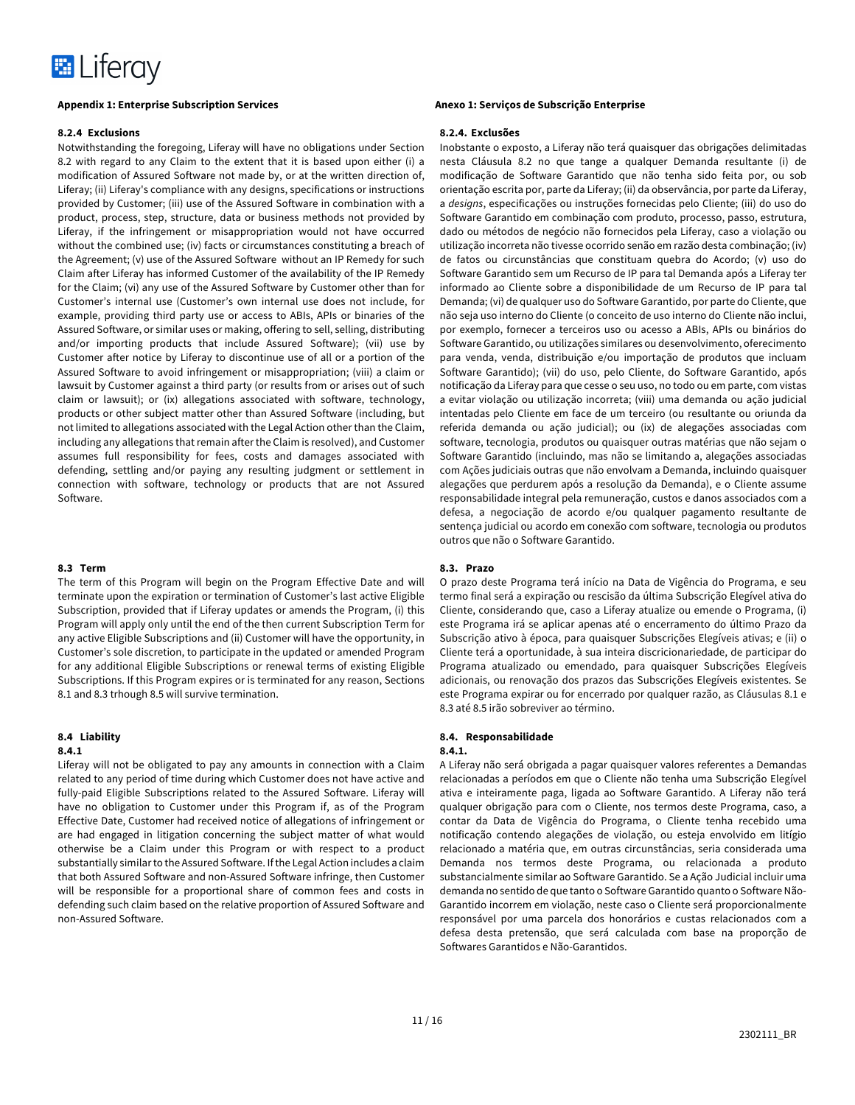

#### **8.2.4 Exclusions**

Notwithstanding the foregoing, Liferay will have no obligations under Section 8.2 with regard to any Claim to the extent that it is based upon either (i) a modification of Assured Software not made by, or at the written direction of, Liferay; (ii) Liferay's compliance with any designs, specifications or instructions provided by Customer; (iii) use of the Assured Software in combination with a product, process, step, structure, data or business methods not provided by Liferay, if the infringement or misappropriation would not have occurred without the combined use; (iv) facts or circumstances constituting a breach of the Agreement; (v) use of the Assured Software without an IP Remedy for such Claim after Liferay has informed Customer of the availability of the IP Remedy for the Claim; (vi) any use of the Assured Software by Customer other than for Customer's internal use (Customer's own internal use does not include, for example, providing third party use or access to ABIs, APIs or binaries of the Assured Software, or similar uses or making, offering to sell, selling, distributing and/or importing products that include Assured Software); (vii) use by Customer after notice by Liferay to discontinue use of all or a portion of the Assured Software to avoid infringement or misappropriation; (viii) a claim or lawsuit by Customer against a third party (or results from or arises out of such claim or lawsuit); or (ix) allegations associated with software, technology, products or other subject matter other than Assured Software (including, but not limited to allegations associated with the Legal Action other than the Claim, including any allegations that remain after the Claim is resolved), and Customer assumes full responsibility for fees, costs and damages associated with defending, settling and/or paying any resulting judgment or settlement in connection with software, technology or products that are not Assured Software.

### **8.3 Term**

The term of this Program will begin on the Program Effective Date and will terminate upon the expiration or termination of Customer's last active Eligible Subscription, provided that if Liferay updates or amends the Program, (i) this Program will apply only until the end of the then current Subscription Term for any active Eligible Subscriptions and (ii) Customer will have the opportunity, in Customer's sole discretion, to participate in the updated or amended Program for any additional Eligible Subscriptions or renewal terms of existing Eligible Subscriptions. If this Program expires or is terminated for any reason, Sections 8.1 and 8.3 trhough 8.5 will survive termination.

# **8.4 Liability**

# **8.4.1**

Liferay will not be obligated to pay any amounts in connection with a Claim related to any period of time during which Customer does not have active and fully-paid Eligible Subscriptions related to the Assured Software. Liferay will have no obligation to Customer under this Program if, as of the Program Effective Date, Customer had received notice of allegations of infringement or are had engaged in litigation concerning the subject matter of what would otherwise be a Claim under this Program or with respect to a product substantially similar to the Assured Software. If the Legal Action includes a claim that both Assured Software and non-Assured Software infringe, then Customer will be responsible for a proportional share of common fees and costs in defending such claim based on the relative proportion of Assured Software and non-Assured Software.

# **8.2.4. Exclusões**

Inobstante o exposto, a Liferay não terá quaisquer das obrigações delimitadas nesta Cláusula 8.2 no que tange a qualquer Demanda resultante (i) de modificação de Software Garantido que não tenha sido feita por, ou sob orientação escrita por, parte da Liferay; (ii) da observância, por parte da Liferay, a *designs*, especificações ou instruções fornecidas pelo Cliente; (iii) do uso do Software Garantido em combinação com produto, processo, passo, estrutura, dado ou métodos de negócio não fornecidos pela Liferay, caso a violação ou utilização incorreta não tivesse ocorrido senão em razão desta combinação; (iv) de fatos ou circunstâncias que constituam quebra do Acordo; (v) uso do Software Garantido sem um Recurso de IP para tal Demanda após a Liferay ter informado ao Cliente sobre a disponibilidade de um Recurso de IP para tal Demanda; (vi) de qualquer uso do Software Garantido, por parte do Cliente, que não seja uso interno do Cliente (o conceito de uso interno do Cliente não inclui, por exemplo, fornecer a terceiros uso ou acesso a ABIs, APIs ou binários do Software Garantido, ou utilizações similares ou desenvolvimento, oferecimento para venda, venda, distribuição e/ou importação de produtos que incluam Software Garantido); (vii) do uso, pelo Cliente, do Software Garantido, após notificação da Liferay para que cesse o seu uso, no todo ou em parte, com vistas a evitar violação ou utilização incorreta; (viii) uma demanda ou ação judicial intentadas pelo Cliente em face de um terceiro (ou resultante ou oriunda da referida demanda ou ação judicial); ou (ix) de alegações associadas com software, tecnologia, produtos ou quaisquer outras matérias que não sejam o Software Garantido (incluindo, mas não se limitando a, alegações associadas com Ações judiciais outras que não envolvam a Demanda, incluindo quaisquer alegações que perdurem após a resolução da Demanda), e o Cliente assume responsabilidade integral pela remuneração, custos e danos associados com a defesa, a negociação de acordo e/ou qualquer pagamento resultante de sentença judicial ou acordo em conexão com software, tecnologia ou produtos outros que não o Software Garantido.

#### **8.3. Prazo**

O prazo deste Programa terá início na Data de Vigência do Programa, e seu termo final será a expiração ou rescisão da última Subscrição Elegível ativa do Cliente, considerando que, caso a Liferay atualize ou emende o Programa, (i) este Programa irá se aplicar apenas até o encerramento do último Prazo da Subscrição ativo à época, para quaisquer Subscrições Elegíveis ativas; e (ii) o Cliente terá a oportunidade, à sua inteira discricionariedade, de participar do Programa atualizado ou emendado, para quaisquer Subscrições Elegíveis adicionais, ou renovação dos prazos das Subscrições Elegíveis existentes. Se este Programa expirar ou for encerrado por qualquer razão, as Cláusulas 8.1 e 8.3 até 8.5 irão sobreviver ao término.

#### **8.4. Responsabilidade 8.4.1.**

A Liferay não será obrigada a pagar quaisquer valores referentes a Demandas relacionadas a períodos em que o Cliente não tenha uma Subscrição Elegível ativa e inteiramente paga, ligada ao Software Garantido. A Liferay não terá qualquer obrigação para com o Cliente, nos termos deste Programa, caso, a contar da Data de Vigência do Programa, o Cliente tenha recebido uma notificação contendo alegações de violação, ou esteja envolvido em litígio relacionado a matéria que, em outras circunstâncias, seria considerada uma Demanda nos termos deste Programa, ou relacionada a produto substancialmente similar ao Software Garantido. Se a Ação Judicial incluir uma demanda no sentido de que tanto o Software Garantido quanto o Software Não-Garantido incorrem em violação, neste caso o Cliente será proporcionalmente responsável por uma parcela dos honorários e custas relacionados com a defesa desta pretensão, que será calculada com base na proporção de Softwares Garantidos e Não-Garantidos.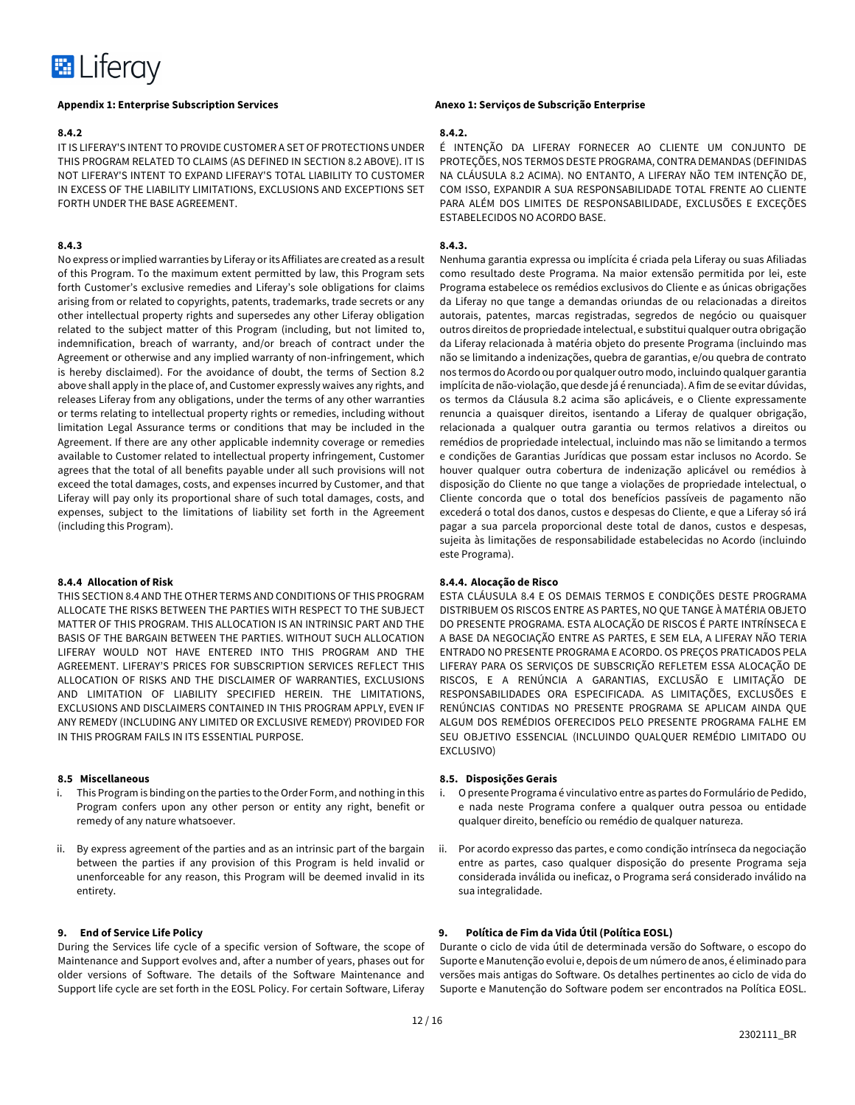

#### **8.4.2**

IT IS LIFERAY'S INTENT TO PROVIDE CUSTOMER A SET OF PROTECTIONS UNDER THIS PROGRAM RELATED TO CLAIMS (AS DEFINED IN SECTION 8.2 ABOVE). IT IS NOT LIFERAY'S INTENT TO EXPAND LIFERAY'S TOTAL LIABILITY TO CUSTOMER IN EXCESS OF THE LIABILITY LIMITATIONS, EXCLUSIONS AND EXCEPTIONS SET FORTH UNDER THE BASE AGREEMENT.

### **8.4.3**

No express or implied warranties by Liferay or its Affiliates are created as a result of this Program. To the maximum extent permitted by law, this Program sets forth Customer's exclusive remedies and Liferay's sole obligations for claims arising from or related to copyrights, patents, trademarks, trade secrets or any other intellectual property rights and supersedes any other Liferay obligation related to the subject matter of this Program (including, but not limited to, indemnification, breach of warranty, and/or breach of contract under the Agreement or otherwise and any implied warranty of non-infringement, which is hereby disclaimed). For the avoidance of doubt, the terms of Section 8.2 above shall apply in the place of, and Customer expressly waives any rights, and releases Liferay from any obligations, under the terms of any other warranties or terms relating to intellectual property rights or remedies, including without limitation Legal Assurance terms or conditions that may be included in the Agreement. If there are any other applicable indemnity coverage or remedies available to Customer related to intellectual property infringement, Customer agrees that the total of all benefits payable under all such provisions will not exceed the total damages, costs, and expenses incurred by Customer, and that Liferay will pay only its proportional share of such total damages, costs, and expenses, subject to the limitations of liability set forth in the Agreement (including this Program).

# **8.4.4 Allocation of Risk**

THIS SECTION 8.4 AND THE OTHER TERMS AND CONDITIONS OF THIS PROGRAM ALLOCATE THE RISKS BETWEEN THE PARTIES WITH RESPECT TO THE SUBJECT MATTER OF THIS PROGRAM. THIS ALLOCATION IS AN INTRINSIC PART AND THE BASIS OF THE BARGAIN BETWEEN THE PARTIES. WITHOUT SUCH ALLOCATION LIFERAY WOULD NOT HAVE ENTERED INTO THIS PROGRAM AND THE AGREEMENT. LIFERAY'S PRICES FOR SUBSCRIPTION SERVICES REFLECT THIS ALLOCATION OF RISKS AND THE DISCLAIMER OF WARRANTIES, EXCLUSIONS AND LIMITATION OF LIABILITY SPECIFIED HEREIN. THE LIMITATIONS, EXCLUSIONS AND DISCLAIMERS CONTAINED IN THIS PROGRAM APPLY, EVEN IF ANY REMEDY (INCLUDING ANY LIMITED OR EXCLUSIVE REMEDY) PROVIDED FOR IN THIS PROGRAM FAILS IN ITS ESSENTIAL PURPOSE.

### **8.5 Miscellaneous**

- i. This Program is binding on the parties to the Order Form, and nothing in this Program confers upon any other person or entity any right, benefit or remedy of any nature whatsoever.
- ii. By express agreement of the parties and as an intrinsic part of the bargain between the parties if any provision of this Program is held invalid or unenforceable for any reason, this Program will be deemed invalid in its entirety.

# **9. End of Service Life Policy**

During the Services life cycle of a specific version of Software, the scope of Maintenance and Support evolves and, after a number of years, phases out for older versions of Software. The details of the Software Maintenance and Support life cycle are set forth in the EOSL Policy. For certain Software, Liferay

# **8.4.2.**

É INTENÇÃO DA LIFERAY FORNECER AO CLIENTE UM CONJUNTO DE PROTEÇÕES, NOS TERMOS DESTE PROGRAMA, CONTRA DEMANDAS (DEFINIDAS NA CLÁUSULA 8.2 ACIMA). NO ENTANTO, A LIFERAY NÃO TEM INTENÇÃO DE, COM ISSO, EXPANDIR A SUA RESPONSABILIDADE TOTAL FRENTE AO CLIENTE PARA ALÉM DOS LIMITES DE RESPONSABILIDADE, EXCLUSÕES E EXCEÇÕES ESTABELECIDOS NO ACORDO BASE.

#### **8.4.3.**

Nenhuma garantia expressa ou implícita é criada pela Liferay ou suas Afiliadas como resultado deste Programa. Na maior extensão permitida por lei, este Programa estabelece os remédios exclusivos do Cliente e as únicas obrigações da Liferay no que tange a demandas oriundas de ou relacionadas a direitos autorais, patentes, marcas registradas, segredos de negócio ou quaisquer outros direitos de propriedade intelectual, e substitui qualquer outra obrigação da Liferay relacionada à matéria objeto do presente Programa (incluindo mas não se limitando a indenizações, quebra de garantias, e/ou quebra de contrato nos termos do Acordo ou por qualquer outro modo, incluindo qualquer garantia implícita de não-violação, que desde já é renunciada). A fim de se evitar dúvidas, os termos da Cláusula 8.2 acima são aplicáveis, e o Cliente expressamente renuncia a quaisquer direitos, isentando a Liferay de qualquer obrigação, relacionada a qualquer outra garantia ou termos relativos a direitos ou remédios de propriedade intelectual, incluindo mas não se limitando a termos e condições de Garantias Jurídicas que possam estar inclusos no Acordo. Se houver qualquer outra cobertura de indenização aplicável ou remédios à disposição do Cliente no que tange a violações de propriedade intelectual, o Cliente concorda que o total dos benefícios passíveis de pagamento não excederá o total dos danos, custos e despesas do Cliente, e que a Liferay só irá pagar a sua parcela proporcional deste total de danos, custos e despesas, sujeita às limitações de responsabilidade estabelecidas no Acordo (incluindo este Programa).

#### **8.4.4. Alocação de Risco**

ESTA CLÁUSULA 8.4 E OS DEMAIS TERMOS E CONDIÇÕES DESTE PROGRAMA DISTRIBUEM OS RISCOS ENTRE AS PARTES, NO QUE TANGE À MATÉRIA OBJETO DO PRESENTE PROGRAMA. ESTA ALOCAÇÃO DE RISCOS É PARTE INTRÍNSECA E A BASE DA NEGOCIAÇÃO ENTRE AS PARTES, E SEM ELA, A LIFERAY NÃO TERIA ENTRADO NO PRESENTE PROGRAMA E ACORDO. OS PREÇOS PRATICADOS PELA LIFERAY PARA OS SERVIÇOS DE SUBSCRIÇÃO REFLETEM ESSA ALOCAÇÃO DE RISCOS, E A RENÚNCIA A GARANTIAS, EXCLUSÃO E LIMITAÇÃO DE RESPONSABILIDADES ORA ESPECIFICADA. AS LIMITAÇÕES, EXCLUSÕES E RENÚNCIAS CONTIDAS NO PRESENTE PROGRAMA SE APLICAM AINDA QUE ALGUM DOS REMÉDIOS OFERECIDOS PELO PRESENTE PROGRAMA FALHE EM SEU OBJETIVO ESSENCIAL (INCLUINDO QUALQUER REMÉDIO LIMITADO OU EXCLUSIVO)

#### **8.5. Disposições Gerais**

- i. O presente Programa é vinculativo entre as partes do Formulário de Pedido, e nada neste Programa confere a qualquer outra pessoa ou entidade qualquer direito, benefício ou remédio de qualquer natureza.
- ii. Por acordo expresso das partes, e como condição intrínseca da negociação entre as partes, caso qualquer disposição do presente Programa seja considerada inválida ou ineficaz, o Programa será considerado inválido na sua integralidade.

# **9. Política de Fim da Vida Útil (Política EOSL)**

Durante o ciclo de vida útil de determinada versão do Software, o escopo do Suporte e Manutenção evolui e, depois de um número de anos, é eliminado para versões mais antigas do Software. Os detalhes pertinentes ao ciclo de vida do Suporte e Manutenção do Software podem ser encontrados na Política EOSL.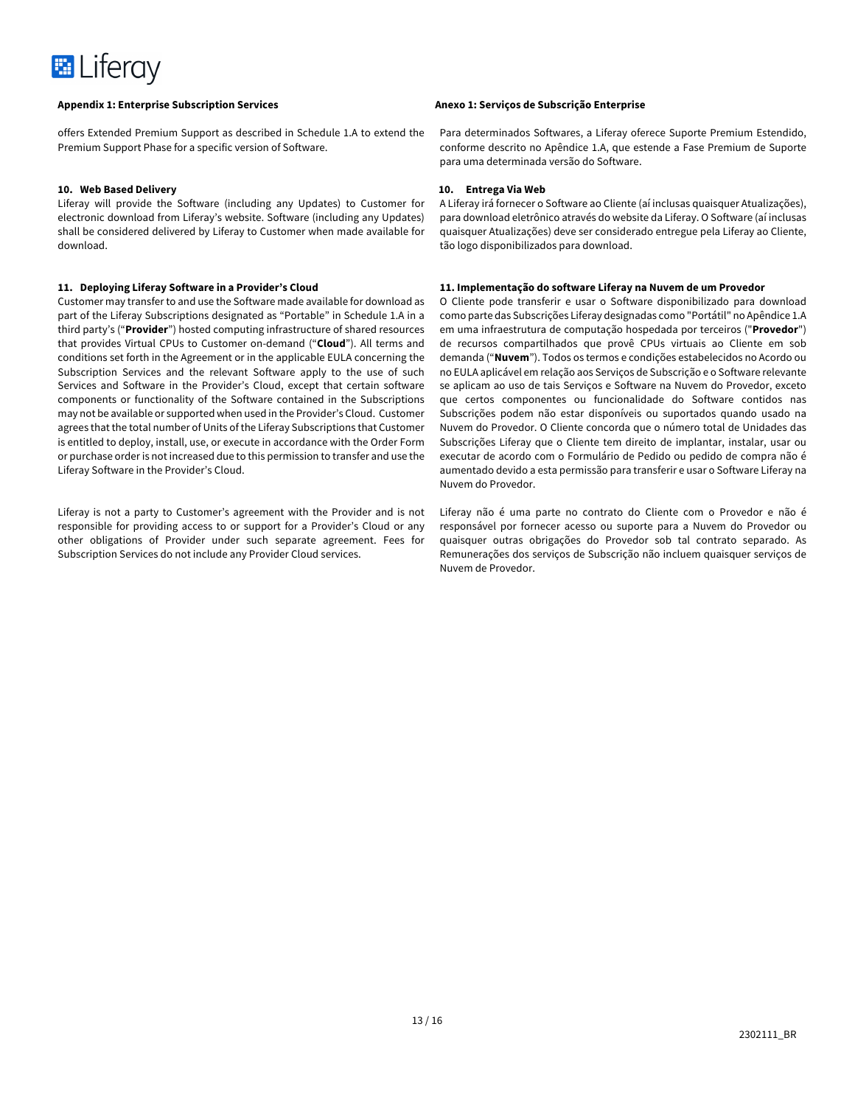

offers Extended Premium Support as described in Schedule 1.A to extend the Premium Support Phase for a specific version of Software.

# **10. Web Based Delivery**

Liferay will provide the Software (including any Updates) to Customer for electronic download from Liferay's website. Software (including any Updates) shall be considered delivered by Liferay to Customer when made available for download.

# **11. Deploying Liferay Software in a Provider's Cloud**

Customer may transfer to and use the Software made available for download as part of the Liferay Subscriptions designated as "Portable" in Schedule 1.A in a third party's ("**Provider**") hosted computing infrastructure of shared resources that provides Virtual CPUs to Customer on-demand ("**Cloud**"). All terms and conditions set forth in the Agreement or in the applicable EULA concerning the Subscription Services and the relevant Software apply to the use of such Services and Software in the Provider's Cloud, except that certain software components or functionality of the Software contained in the Subscriptions may not be available or supported when used in the Provider's Cloud. Customer agrees that the total number of Units of the Liferay Subscriptions that Customer is entitled to deploy, install, use, or execute in accordance with the Order Form or purchase order is not increased due to this permission to transfer and use the Liferay Software in the Provider's Cloud.

Liferay is not a party to Customer's agreement with the Provider and is not responsible for providing access to or support for a Provider's Cloud or any other obligations of Provider under such separate agreement. Fees for Subscription Services do not include any Provider Cloud services.

Para determinados Softwares, a Liferay oferece Suporte Premium Estendido, conforme descrito no Apêndice 1.A, que estende a Fase Premium de Suporte para uma determinada versão do Software.

## **10. Entrega Via Web**

A Liferay irá fornecer o Software ao Cliente (aí inclusas quaisquer Atualizações), para download eletrônico através do website da Liferay. O Software (aí inclusas quaisquer Atualizações) deve ser considerado entregue pela Liferay ao Cliente, tão logo disponibilizados para download.

# **11. Implementação do software Liferay na Nuvem de um Provedor**

O Cliente pode transferir e usar o Software disponibilizado para download como parte das Subscrições Liferay designadas como "Portátil" no Apêndice 1.A em uma infraestrutura de computação hospedada por terceiros ("**Provedor**") de recursos compartilhados que provê CPUs virtuais ao Cliente em sob demanda ("**Nuvem**"). Todos os termos e condições estabelecidos no Acordo ou no EULA aplicável em relação aos Serviços de Subscrição e o Software relevante se aplicam ao uso de tais Serviços e Software na Nuvem do Provedor, exceto que certos componentes ou funcionalidade do Software contidos nas Subscrições podem não estar disponíveis ou suportados quando usado na Nuvem do Provedor. O Cliente concorda que o número total de Unidades das Subscrições Liferay que o Cliente tem direito de implantar, instalar, usar ou executar de acordo com o Formulário de Pedido ou pedido de compra não é aumentado devido a esta permissão para transferir e usar o Software Liferay na Nuvem do Provedor.

Liferay não é uma parte no contrato do Cliente com o Provedor e não é responsável por fornecer acesso ou suporte para a Nuvem do Provedor ou quaisquer outras obrigações do Provedor sob tal contrato separado. As Remunerações dos serviços de Subscrição não incluem quaisquer serviços de Nuvem de Provedor.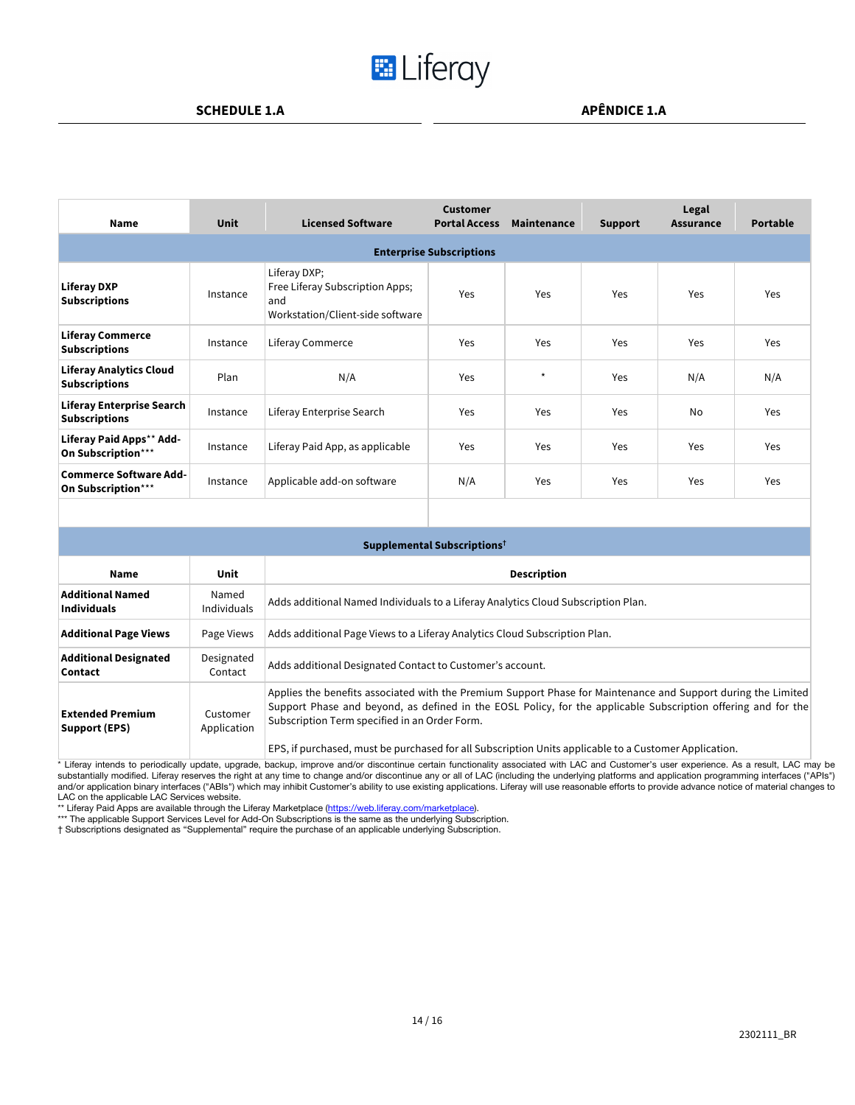# **E** Liferay

| <b>Name</b>                                            | <b>Unit</b> | <b>Licensed Software</b>                                                                   | <b>Customer</b><br><b>Portal Access</b> | Maintenance | <b>Support</b> | Legal<br><b>Assurance</b> | <b>Portable</b> |
|--------------------------------------------------------|-------------|--------------------------------------------------------------------------------------------|-----------------------------------------|-------------|----------------|---------------------------|-----------------|
|                                                        |             |                                                                                            | <b>Enterprise Subscriptions</b>         |             |                |                           |                 |
| <b>Liferay DXP</b><br><b>Subscriptions</b>             | Instance    | Liferay DXP;<br>Free Liferay Subscription Apps;<br>and<br>Workstation/Client-side software | Yes                                     | Yes         | Yes            | Yes                       | Yes             |
| <b>Liferay Commerce</b><br><b>Subscriptions</b>        | Instance    | Liferay Commerce                                                                           | <b>Yes</b>                              | Yes         | Yes            | Yes                       | Yes             |
| <b>Liferay Analytics Cloud</b><br><b>Subscriptions</b> | Plan        | N/A                                                                                        | Yes                                     | $\star$     | Yes            | N/A                       | N/A             |
| Liferay Enterprise Search<br><b>Subscriptions</b>      | Instance    | Liferay Enterprise Search                                                                  | Yes                                     | Yes         | Yes            | <b>No</b>                 | Yes             |
| Liferay Paid Apps** Add-<br>On Subscription***         | Instance    | Liferay Paid App, as applicable                                                            | Yes                                     | Yes         | Yes            | Yes                       | Yes             |
| <b>Commerce Software Add-</b><br>On Subscription***    | Instance    | Applicable add-on software                                                                 | N/A                                     | Yes         | Yes            | Yes                       | Yes             |

|                                               |                             | Supplemental Subscriptions <sup>†</sup>                                                                                                                                                                                                                                                                                                                                                  |
|-----------------------------------------------|-----------------------------|------------------------------------------------------------------------------------------------------------------------------------------------------------------------------------------------------------------------------------------------------------------------------------------------------------------------------------------------------------------------------------------|
| Name                                          | Unit                        | <b>Description</b>                                                                                                                                                                                                                                                                                                                                                                       |
| <b>Additional Named</b><br><b>Individuals</b> | Named<br><b>Individuals</b> | Adds additional Named Individuals to a Liferay Analytics Cloud Subscription Plan.                                                                                                                                                                                                                                                                                                        |
| <b>Additional Page Views</b>                  | Page Views                  | Adds additional Page Views to a Liferay Analytics Cloud Subscription Plan.                                                                                                                                                                                                                                                                                                               |
| <b>Additional Designated</b><br>Contact       | Designated<br>Contact       | Adds additional Designated Contact to Customer's account.                                                                                                                                                                                                                                                                                                                                |
| <b>Extended Premium</b><br>Support (EPS)      | Customer<br>Application     | Applies the benefits associated with the Premium Support Phase for Maintenance and Support during the Limited<br>Support Phase and beyond, as defined in the EOSL Policy, for the applicable Subscription offering and for the<br>Subscription Term specified in an Order Form.<br>EPS, if purchased, must be purchased for all Subscription Units applicable to a Customer Application. |

\* Liferay intends to periodically update, upgrade, backup, improve and/or discontinue certain functionality associated with LAC and Customer's user experience. As a result, LAC may be substantially modified. Liferay reserv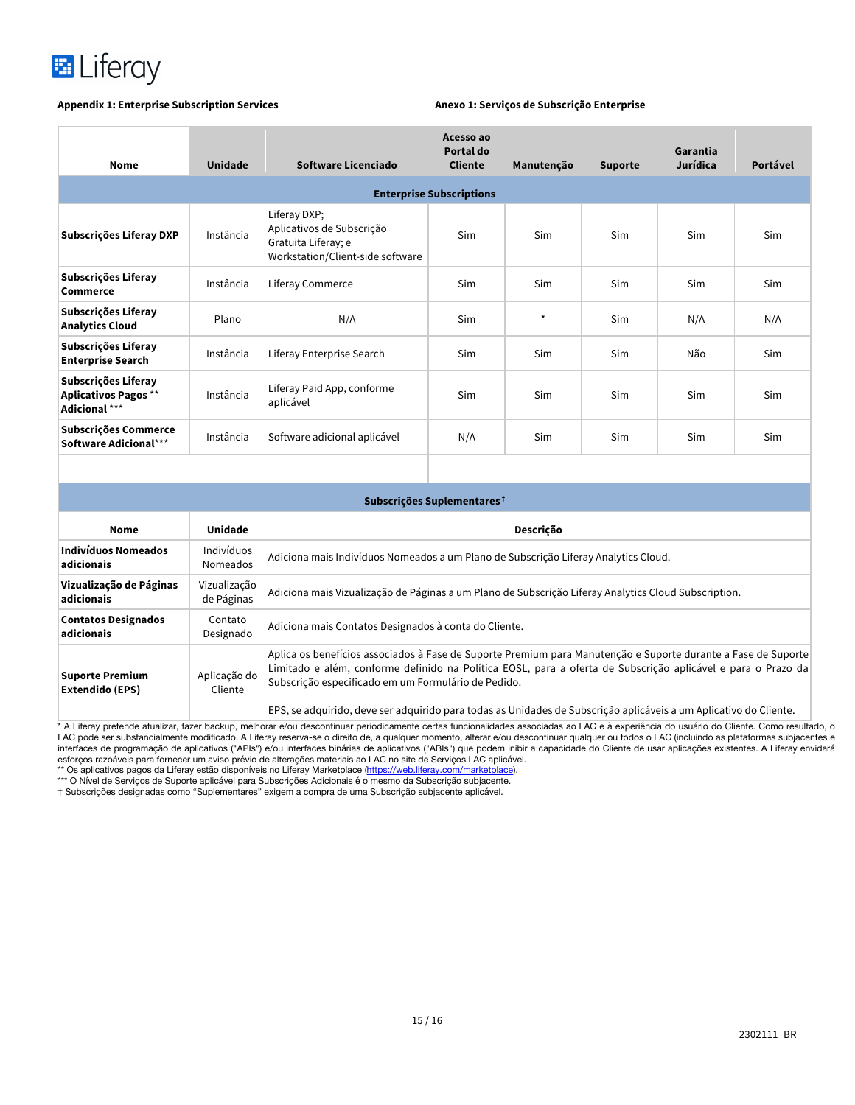

| <b>Nome</b>                                                         | <b>Unidade</b> | Software Licenciado                                                                                  | Acesso ao<br>Portal do<br><b>Cliente</b> | Manutenção | <b>Suporte</b> | Garantia<br>Jurídica | Portável |
|---------------------------------------------------------------------|----------------|------------------------------------------------------------------------------------------------------|------------------------------------------|------------|----------------|----------------------|----------|
|                                                                     |                |                                                                                                      | <b>Enterprise Subscriptions</b>          |            |                |                      |          |
| Subscrições Liferay DXP                                             | Instância      | Liferay DXP;<br>Aplicativos de Subscrição<br>Gratuita Liferay; e<br>Workstation/Client-side software | Sim                                      | Sim        | Sim            | <b>Sim</b>           | Sim      |
| Subscrições Liferay<br>Commerce                                     | Instância      | Liferay Commerce                                                                                     | Sim                                      | Sim        | Sim            | <b>Sim</b>           | Sim      |
| Subscrições Liferay<br><b>Analytics Cloud</b>                       | Plano          | N/A                                                                                                  | Sim                                      | $\star$    | <b>Sim</b>     | N/A                  | N/A      |
| Subscrições Liferay<br><b>Enterprise Search</b>                     | Instância      | Liferay Enterprise Search                                                                            | Sim                                      | Sim        | Sim            | Não                  | Sim      |
| Subscrições Liferay<br><b>Aplicativos Pagos **</b><br>Adicional *** | Instância      | Liferay Paid App, conforme<br>aplicável                                                              | Sim                                      | Sim        | Sim            | <b>Sim</b>           | Sim      |
| Subscrições Commerce<br>Software Adicional***                       | Instância      | Software adicional aplicável                                                                         | N/A                                      | Sim        | <b>Sim</b>     | <b>Sim</b>           | Sim      |
|                                                                     |                |                                                                                                      |                                          |            |                |                      |          |
|                                                                     |                |                                                                                                      |                                          |            |                |                      |          |

| Subscrições Suplementares <sup>†</sup>    |                               |                                                                                                                                                                                                                                                                                      |  |  |
|-------------------------------------------|-------------------------------|--------------------------------------------------------------------------------------------------------------------------------------------------------------------------------------------------------------------------------------------------------------------------------------|--|--|
| Nome                                      | Unidade                       | Descrição                                                                                                                                                                                                                                                                            |  |  |
| <b>Indivíduos Nomeados</b><br>adicionais  | Indivíduos<br><b>Nomeados</b> | Adiciona mais Indivíduos Nomeados a um Plano de Subscrição Liferay Analytics Cloud.                                                                                                                                                                                                  |  |  |
| Vizualização de Páginas<br>adicionais     | Vizualização<br>de Páginas    | Adiciona mais Vizualização de Páginas a um Plano de Subscrição Liferay Analytics Cloud Subscription.                                                                                                                                                                                 |  |  |
| <b>Contatos Designados</b><br>adicionais  | Contato<br>Designado          | Adiciona mais Contatos Designados à conta do Cliente.                                                                                                                                                                                                                                |  |  |
| <b>Suporte Premium</b><br>Extendido (EPS) | Aplicação do<br>Cliente       | Aplica os benefícios associados à Fase de Suporte Premium para Manutenção e Suporte durante a Fase de Suporte<br>Limitado e além, conforme definido na Política EOSL, para a oferta de Subscrição aplicável e para o Prazo da<br>Subscrição especificado em um Formulário de Pedido. |  |  |
|                                           |                               | EPS, se adquirido, deve ser adquirido para todas as Unidades de Subscrição aplicáveis a um Aplicativo do Cliente.                                                                                                                                                                    |  |  |

\* A Liferay pretende atualizar, fazer backup, melhorar e/ou descontinuar periodicamente certas funcionalidades associadas ao LAC e à experiência do usuário do Cliente. Como resultado, o<br>LAC pode ser substancialmente modifi

esforços razoáveis para fornecer um aviso prévio de alterações materiais ao LAC no site de Serviços LAC aplicável.<br>\*\* Os aplicativos pagos da Liferay estão disponíveis no Liferay Marketplace (<u>https://web.liferay.com/marke</u>

† Subscrições designadas como "Suplementares" exigem a compra de uma Subscrição subjacente aplicável.